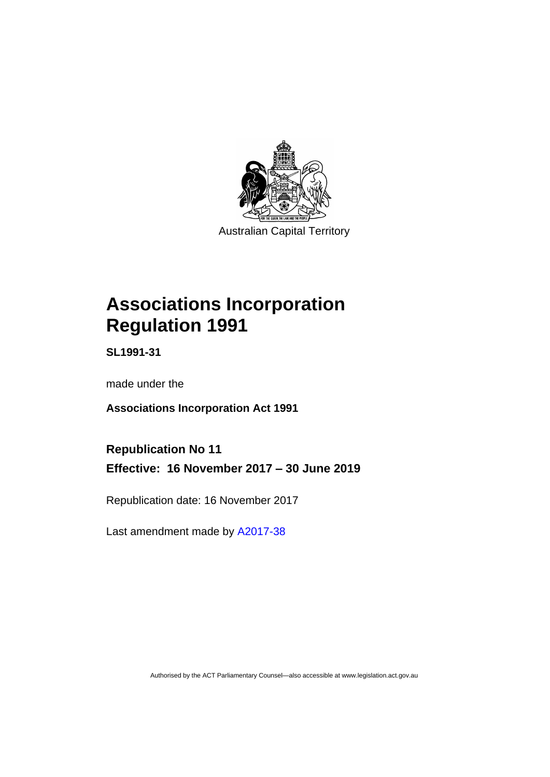

Australian Capital Territory

# **Associations Incorporation Regulation 1991**

**SL1991-31**

made under the

**Associations Incorporation Act 1991**

**Republication No 11 Effective: 16 November 2017 – 30 June 2019**

Republication date: 16 November 2017

Last amendment made by [A2017-38](http://www.legislation.act.gov.au/a/2017-38/default.asp)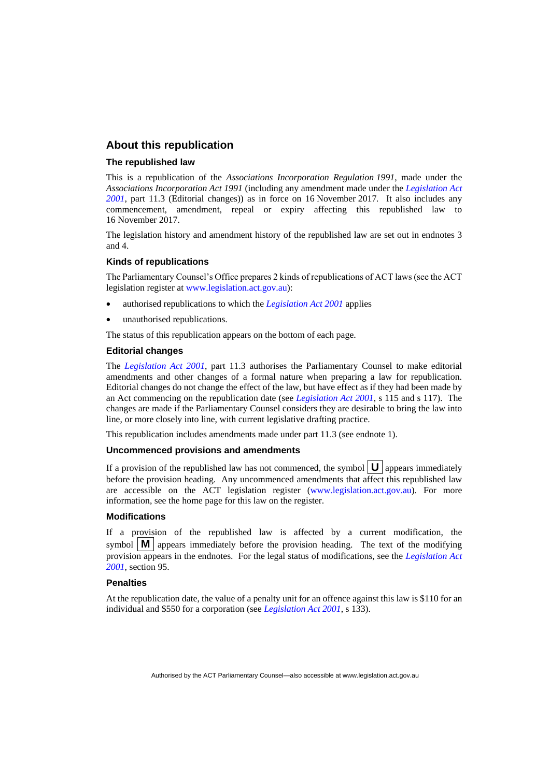#### **About this republication**

#### **The republished law**

This is a republication of the *Associations Incorporation Regulation 1991*, made under the *Associations Incorporation Act 1991* (including any amendment made under the *[Legislation Act](http://www.legislation.act.gov.au/a/2001-14)  [2001](http://www.legislation.act.gov.au/a/2001-14)*, part 11.3 (Editorial changes)) as in force on 16 November 2017*.* It also includes any commencement, amendment, repeal or expiry affecting this republished law to 16 November 2017.

The legislation history and amendment history of the republished law are set out in endnotes 3 and 4.

#### **Kinds of republications**

The Parliamentary Counsel's Office prepares 2 kinds of republications of ACT laws (see the ACT legislation register at [www.legislation.act.gov.au\)](http://www.legislation.act.gov.au/):

- authorised republications to which the *[Legislation Act 2001](http://www.legislation.act.gov.au/a/2001-14)* applies
- unauthorised republications.

The status of this republication appears on the bottom of each page.

#### **Editorial changes**

The *[Legislation Act 2001](http://www.legislation.act.gov.au/a/2001-14)*, part 11.3 authorises the Parliamentary Counsel to make editorial amendments and other changes of a formal nature when preparing a law for republication. Editorial changes do not change the effect of the law, but have effect as if they had been made by an Act commencing on the republication date (see *[Legislation Act 2001](http://www.legislation.act.gov.au/a/2001-14)*, s 115 and s 117). The changes are made if the Parliamentary Counsel considers they are desirable to bring the law into line, or more closely into line, with current legislative drafting practice.

This republication includes amendments made under part 11.3 (see endnote 1).

#### **Uncommenced provisions and amendments**

If a provision of the republished law has not commenced, the symbol  $|\mathbf{U}|$  appears immediately before the provision heading. Any uncommenced amendments that affect this republished law are accessible on the ACT legislation register [\(www.legislation.act.gov.au\)](http://www.legislation.act.gov.au/). For more information, see the home page for this law on the register.

#### **Modifications**

If a provision of the republished law is affected by a current modification, the symbol  $\mathbf{M}$  appears immediately before the provision heading. The text of the modifying provision appears in the endnotes. For the legal status of modifications, see the *[Legislation Act](http://www.legislation.act.gov.au/a/2001-14)  [2001](http://www.legislation.act.gov.au/a/2001-14)*, section 95.

#### **Penalties**

At the republication date, the value of a penalty unit for an offence against this law is \$110 for an individual and \$550 for a corporation (see *[Legislation Act 2001](http://www.legislation.act.gov.au/a/2001-14)*, s 133).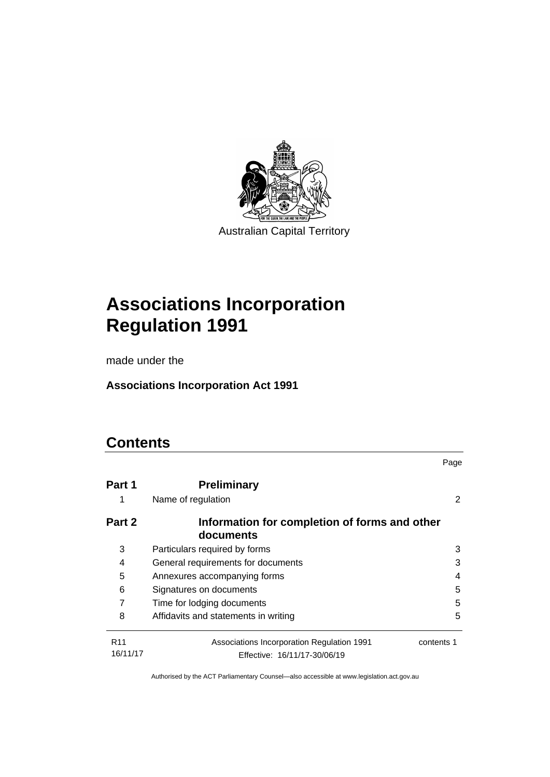

Australian Capital Territory

# **Associations Incorporation Regulation 1991**

made under the

**Associations Incorporation Act 1991**

# **Contents**

|                             |                                                                            | Page       |
|-----------------------------|----------------------------------------------------------------------------|------------|
| Part 1                      | <b>Preliminary</b>                                                         |            |
| 1                           | Name of regulation                                                         | 2          |
| Part 2                      | Information for completion of forms and other<br>documents                 |            |
| 3                           | Particulars required by forms                                              | 3          |
| 4                           | General requirements for documents                                         | 3          |
| 5                           | Annexures accompanying forms<br>4                                          |            |
| 6                           | Signatures on documents                                                    | 5          |
| 7                           | Time for lodging documents                                                 | 5          |
| 8                           | Affidavits and statements in writing                                       | 5          |
| R <sub>11</sub><br>16/11/17 | Associations Incorporation Regulation 1991<br>Effective: 16/11/17-30/06/19 | contents 1 |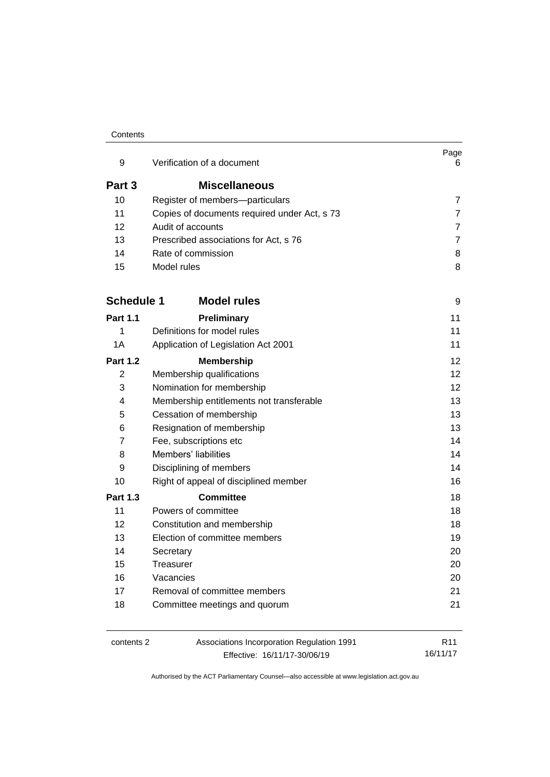#### **Contents**

| 9                 | Verification of a document                   | Page<br>6      |
|-------------------|----------------------------------------------|----------------|
| Part 3            | <b>Miscellaneous</b>                         |                |
| 10                | Register of members-particulars              | $\overline{7}$ |
| 11                | Copies of documents required under Act, s 73 | $\overline{7}$ |
| 12                | Audit of accounts                            | $\overline{7}$ |
| 13                | Prescribed associations for Act, s 76        | $\overline{7}$ |
| 14                | Rate of commission                           | 8              |
| 15                | Model rules                                  | 8              |
| <b>Schedule 1</b> | <b>Model rules</b>                           | 9              |
| <b>Part 1.1</b>   | Preliminary                                  | 11             |
| 1                 | Definitions for model rules                  | 11             |
| 1A                | Application of Legislation Act 2001          | 11             |
| <b>Part 1.2</b>   | <b>Membership</b>                            | 12             |
| 2                 | Membership qualifications                    | 12             |
| 3                 | Nomination for membership                    | 12             |
| 4                 | Membership entitlements not transferable     | 13             |
| 5                 | Cessation of membership                      | 13             |
| 6                 | Resignation of membership                    | 13             |
| 7                 | Fee, subscriptions etc                       | 14             |
| 8                 | Members' liabilities                         | 14             |
| 9                 | Disciplining of members                      | 14             |
| 10                | Right of appeal of disciplined member        | 16             |
| <b>Part 1.3</b>   | <b>Committee</b>                             | 18             |
| 11                | Powers of committee                          | 18             |
| 12                | Constitution and membership                  | 18             |
| 13                | Election of committee members                | 19             |
| 14                | Secretary                                    | 20             |
| 15                | Treasurer                                    | 20             |
| 16                | Vacancies                                    | 20             |
| 17                | Removal of committee members                 | 21             |
| 18                | Committee meetings and quorum                | 21             |
|                   |                                              |                |

contents 2 Associations Incorporation Regulation 1991 Effective: 16/11/17-30/06/19

R11 16/11/17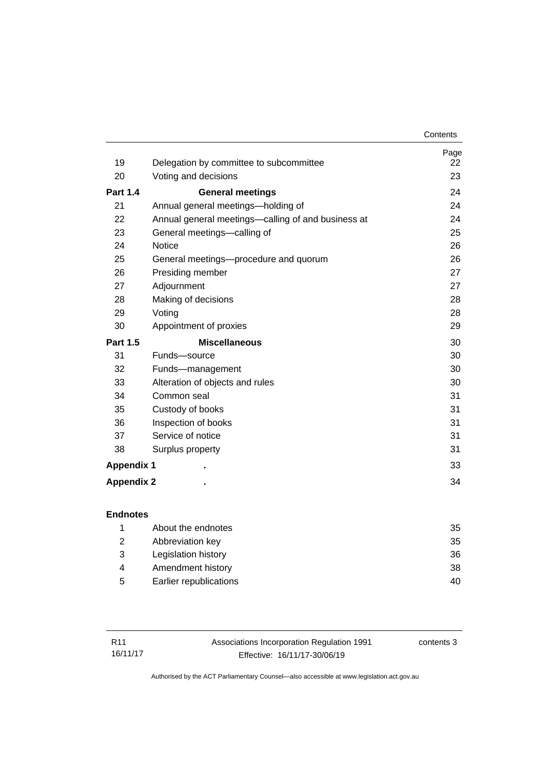|                   |                                                    | Contents |
|-------------------|----------------------------------------------------|----------|
|                   |                                                    | Page     |
| 19                | Delegation by committee to subcommittee            | 22       |
| 20                | Voting and decisions                               | 23       |
| <b>Part 1.4</b>   | <b>General meetings</b>                            | 24       |
| 21                | Annual general meetings—holding of                 | 24       |
| 22                | Annual general meetings—calling of and business at | 24       |
| 23                | General meetings-calling of                        | 25       |
| 24                | <b>Notice</b>                                      | 26       |
| 25                | General meetings-procedure and quorum              | 26       |
| 26                | Presiding member                                   | 27       |
| 27                | Adjournment                                        | 27       |
| 28                | Making of decisions                                | 28       |
| 29                | Voting                                             | 28       |
| 30                | Appointment of proxies                             | 29       |
| <b>Part 1.5</b>   | <b>Miscellaneous</b>                               | 30       |
| 31                | Funds-source                                       | 30       |
| 32                | Funds-management                                   | 30       |
| 33                | Alteration of objects and rules                    | 30       |
| 34                | Common seal                                        | 31       |
| 35                | Custody of books                                   | 31       |
| 36                | Inspection of books                                | 31       |
| 37                | Service of notice                                  | 31       |
| 38                | Surplus property                                   | 31       |
| <b>Appendix 1</b> |                                                    | 33       |
| <b>Appendix 2</b> |                                                    | 34       |

|   | About the endnotes     | 35 |
|---|------------------------|----|
| 2 | Abbreviation key       | 35 |
| 3 | Legislation history    | 36 |
| 4 | Amendment history      | 38 |
| 5 | Earlier republications | 40 |

| R11      | Associations Incorporation Regulation 1991 | contents 3 |
|----------|--------------------------------------------|------------|
| 16/11/17 | Effective: 16/11/17-30/06/19               |            |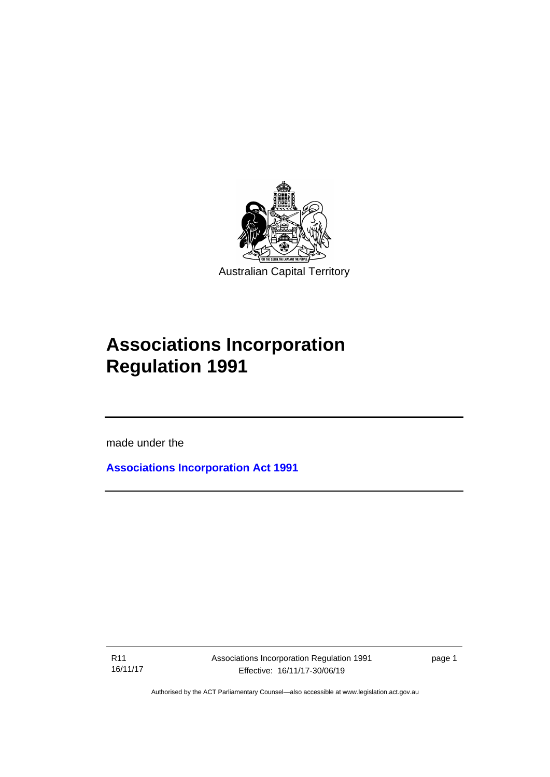

# **Associations Incorporation Regulation 1991**

made under the

I

**[Associations Incorporation Act 1991](http://www.legislation.act.gov.au/a/1991-46)**

R11 16/11/17 Associations Incorporation Regulation 1991 Effective: 16/11/17-30/06/19

page 1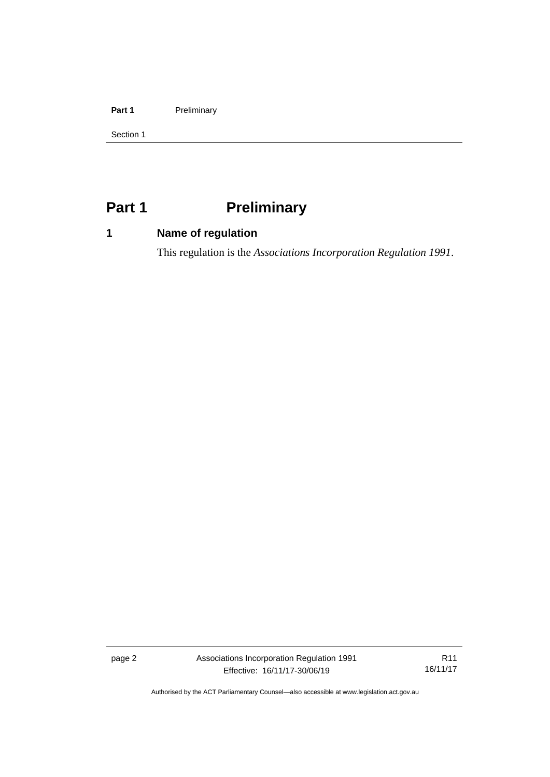#### Part 1 **Preliminary**

Section 1

# <span id="page-7-0"></span>**Part 1 Preliminary**

# <span id="page-7-1"></span>**1 Name of regulation**

This regulation is the *Associations Incorporation Regulation 1991*.

page 2 Associations Incorporation Regulation 1991 Effective: 16/11/17-30/06/19

R11 16/11/17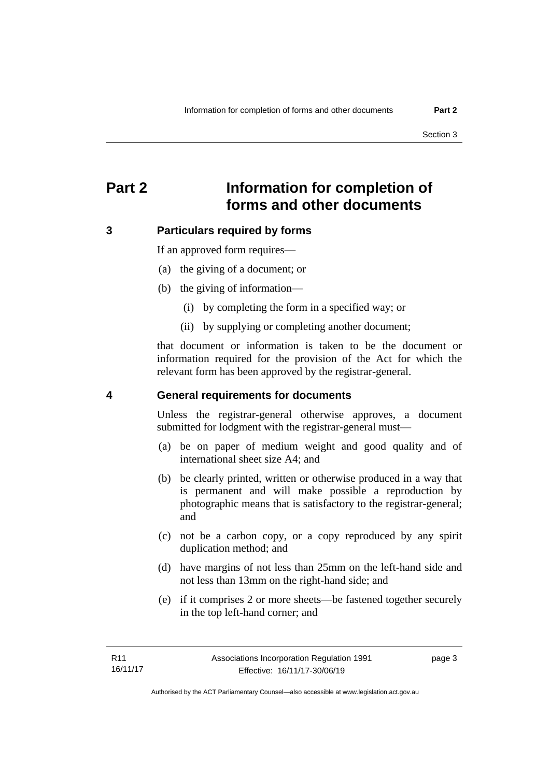# <span id="page-8-0"></span>**Part 2 Information for completion of forms and other documents**

### <span id="page-8-1"></span>**3 Particulars required by forms**

If an approved form requires—

- (a) the giving of a document; or
- (b) the giving of information—
	- (i) by completing the form in a specified way; or
	- (ii) by supplying or completing another document;

that document or information is taken to be the document or information required for the provision of the Act for which the relevant form has been approved by the registrar-general.

#### <span id="page-8-2"></span>**4 General requirements for documents**

Unless the registrar-general otherwise approves, a document submitted for lodgment with the registrar-general must—

- (a) be on paper of medium weight and good quality and of international sheet size A4; and
- (b) be clearly printed, written or otherwise produced in a way that is permanent and will make possible a reproduction by photographic means that is satisfactory to the registrar-general; and
- (c) not be a carbon copy, or a copy reproduced by any spirit duplication method; and
- (d) have margins of not less than 25mm on the left-hand side and not less than 13mm on the right-hand side; and
- (e) if it comprises 2 or more sheets—be fastened together securely in the top left-hand corner; and

page 3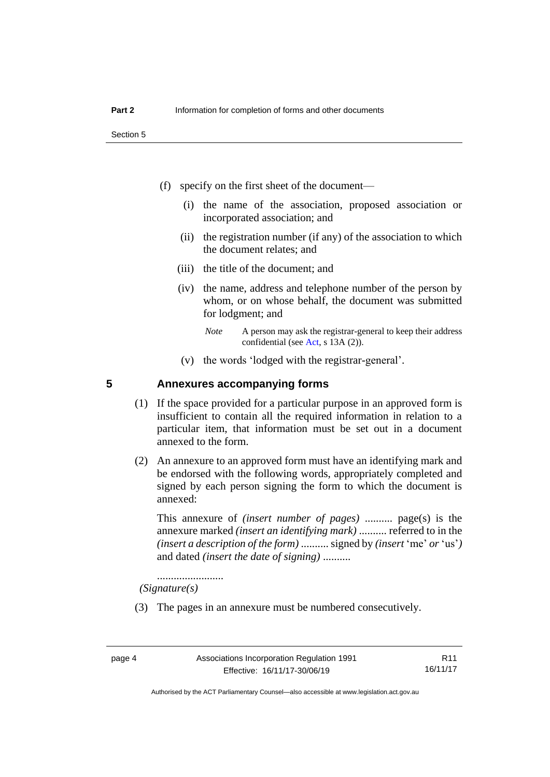Section 5

- (f) specify on the first sheet of the document—
	- (i) the name of the association, proposed association or incorporated association; and
	- (ii) the registration number (if any) of the association to which the document relates; and
	- (iii) the title of the document; and
	- (iv) the name, address and telephone number of the person by whom, or on whose behalf, the document was submitted for lodgment; and
		- *Note* A person may ask the registrar-general to keep their address confidential (see [Act,](http://www.legislation.act.gov.au/a/1991-46/default.asp) s 13A (2)).
	- (v) the words 'lodged with the registrar-general'.

#### <span id="page-9-0"></span>**5 Annexures accompanying forms**

- (1) If the space provided for a particular purpose in an approved form is insufficient to contain all the required information in relation to a particular item, that information must be set out in a document annexed to the form.
- (2) An annexure to an approved form must have an identifying mark and be endorsed with the following words, appropriately completed and signed by each person signing the form to which the document is annexed:

This annexure of *(insert number of pages)* .......... page(s) is the annexure marked *(insert an identifying mark)* .......... referred to in the *(insert a description of the form)* .......... signed by *(insert* 'me' *or* 'us'*)* and dated *(insert the date of signing)* ..........

........................

*(Signature(s)*

(3) The pages in an annexure must be numbered consecutively.

Authorised by the ACT Parliamentary Counsel—also accessible at www.legislation.act.gov.au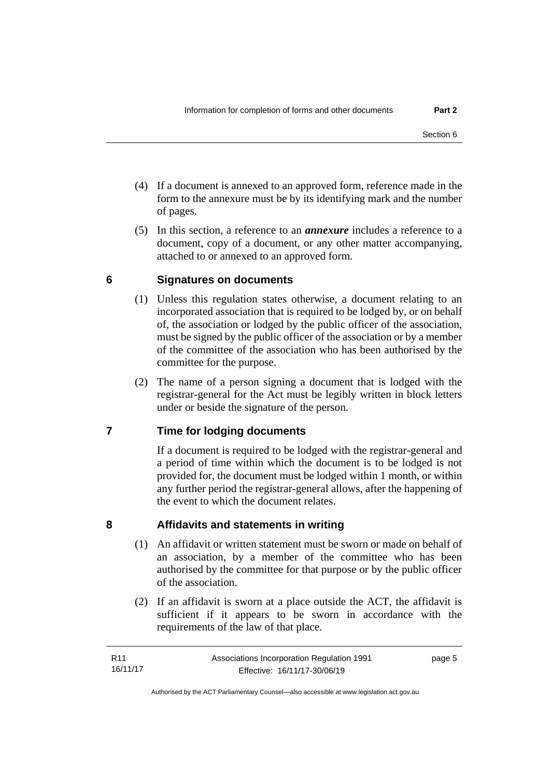- (4) If a document is annexed to an approved form, reference made in the form to the annexure must be by its identifying mark and the number of pages.
- (5) In this section, a reference to an *annexure* includes a reference to a document, copy of a document, or any other matter accompanying, attached to or annexed to an approved form.

# <span id="page-10-0"></span>**6 Signatures on documents**

- (1) Unless this regulation states otherwise, a document relating to an incorporated association that is required to be lodged by, or on behalf of, the association or lodged by the public officer of the association, must be signed by the public officer of the association or by a member of the committee of the association who has been authorised by the committee for the purpose.
- (2) The name of a person signing a document that is lodged with the registrar-general for the Act must be legibly written in block letters under or beside the signature of the person.

# <span id="page-10-1"></span>**7 Time for lodging documents**

If a document is required to be lodged with the registrar-general and a period of time within which the document is to be lodged is not provided for, the document must be lodged within 1 month, or within any further period the registrar-general allows, after the happening of the event to which the document relates.

### <span id="page-10-2"></span>**8 Affidavits and statements in writing**

- (1) An affidavit or written statement must be sworn or made on behalf of an association, by a member of the committee who has been authorised by the committee for that purpose or by the public officer of the association.
- (2) If an affidavit is sworn at a place outside the ACT, the affidavit is sufficient if it appears to be sworn in accordance with the requirements of the law of that place.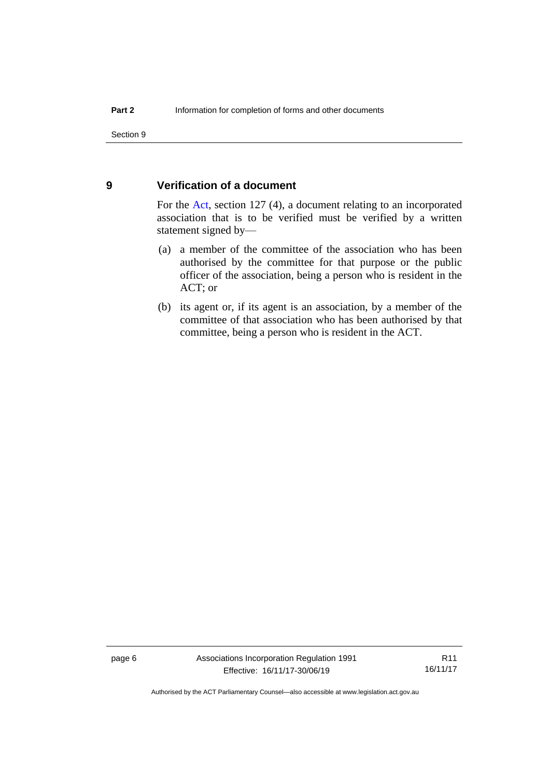#### <span id="page-11-0"></span>**9 Verification of a document**

For the [Act,](http://www.legislation.act.gov.au/a/1991-46/default.asp) section 127 (4), a document relating to an incorporated association that is to be verified must be verified by a written statement signed by—

- (a) a member of the committee of the association who has been authorised by the committee for that purpose or the public officer of the association, being a person who is resident in the ACT; or
- (b) its agent or, if its agent is an association, by a member of the committee of that association who has been authorised by that committee, being a person who is resident in the ACT.

page 6 Associations Incorporation Regulation 1991 Effective: 16/11/17-30/06/19

R11 16/11/17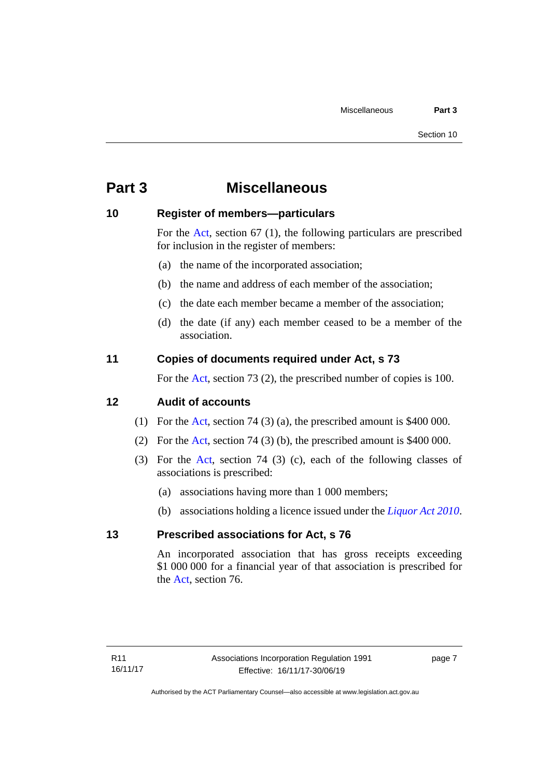# <span id="page-12-0"></span>**Part 3 Miscellaneous**

#### <span id="page-12-1"></span>**10 Register of members—particulars**

For the [Act,](http://www.legislation.act.gov.au/a/1991-46/default.asp) section 67 (1), the following particulars are prescribed for inclusion in the register of members:

- (a) the name of the incorporated association;
- (b) the name and address of each member of the association;
- (c) the date each member became a member of the association;
- (d) the date (if any) each member ceased to be a member of the association.

### <span id="page-12-2"></span>**11 Copies of documents required under Act, s 73**

For the [Act,](http://www.legislation.act.gov.au/a/1991-46/default.asp) section 73 (2), the prescribed number of copies is 100.

#### <span id="page-12-3"></span>**12 Audit of accounts**

- (1) For the [Act,](http://www.legislation.act.gov.au/a/1991-46/default.asp) section 74 (3) (a), the prescribed amount is \$400 000.
- (2) For the [Act,](http://www.legislation.act.gov.au/a/1991-46/default.asp) section 74 (3) (b), the prescribed amount is \$400 000.
- (3) For the [Act,](http://www.legislation.act.gov.au/a/1991-46/default.asp) section 74 (3) (c), each of the following classes of associations is prescribed:
	- (a) associations having more than 1 000 members;
	- (b) associations holding a licence issued under the *[Liquor Act 2010](http://www.legislation.act.gov.au/a/2010-35)*.

#### <span id="page-12-4"></span>**13 Prescribed associations for Act, s 76**

An incorporated association that has gross receipts exceeding \$1 000 000 for a financial year of that association is prescribed for the [Act,](http://www.legislation.act.gov.au/a/1991-46/default.asp) section 76.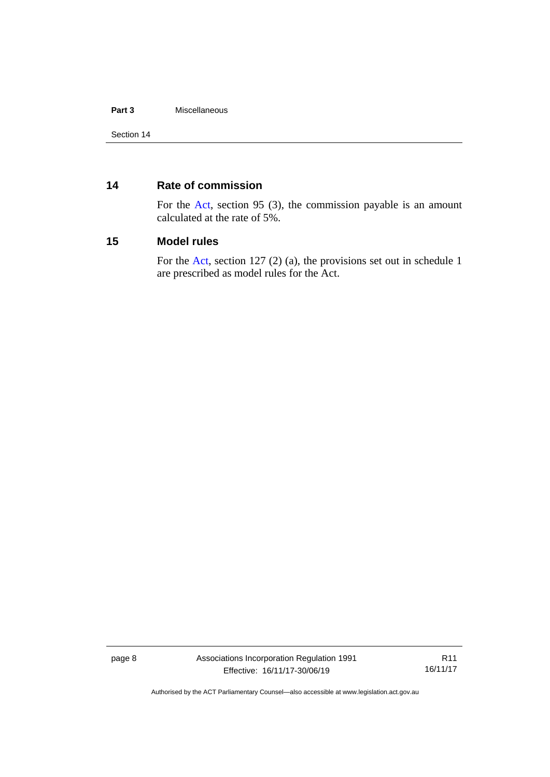#### **Part 3** Miscellaneous

### <span id="page-13-0"></span>**14 Rate of commission**

For the [Act,](http://www.legislation.act.gov.au/a/1991-46/default.asp) section 95 (3), the commission payable is an amount calculated at the rate of 5%.

#### <span id="page-13-1"></span>**15 Model rules**

For the [Act,](http://www.legislation.act.gov.au/a/1991-46/default.asp) section 127 (2) (a), the provisions set out in schedule 1 are prescribed as model rules for the Act.

page 8 Associations Incorporation Regulation 1991 Effective: 16/11/17-30/06/19

R11 16/11/17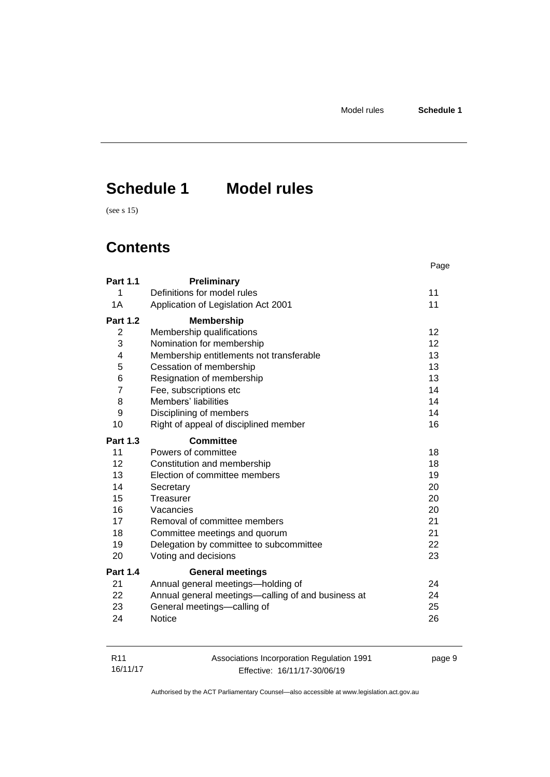page 9

# <span id="page-14-0"></span>**Schedule 1 Model rules**

(see s 15)

# **Contents**

|                 |                                                    | Page |
|-----------------|----------------------------------------------------|------|
| <b>Part 1.1</b> | Preliminary                                        |      |
| 1               | Definitions for model rules                        | 11   |
| 1A              | Application of Legislation Act 2001                | 11   |
| <b>Part 1.2</b> | <b>Membership</b>                                  |      |
| $\overline{2}$  | Membership qualifications                          | 12   |
| 3               | Nomination for membership                          | 12   |
| $\overline{4}$  | Membership entitlements not transferable           | 13   |
| 5               | Cessation of membership                            | 13   |
| 6               | Resignation of membership                          | 13   |
| $\overline{7}$  | Fee, subscriptions etc                             | 14   |
| 8               | Members' liabilities                               | 14   |
| 9               | Disciplining of members                            | 14   |
| 10              | Right of appeal of disciplined member              | 16   |
| <b>Part 1.3</b> | <b>Committee</b>                                   |      |
| 11              | Powers of committee                                | 18   |
| 12 <sup>2</sup> | Constitution and membership                        | 18   |
| 13              | Election of committee members                      | 19   |
| 14              | Secretary                                          | 20   |
| 15              | Treasurer                                          | 20   |
| 16              | Vacancies                                          | 20   |
| 17              | Removal of committee members                       | 21   |
| 18              | Committee meetings and quorum                      | 21   |
| 19              | Delegation by committee to subcommittee            | 22   |
| 20              | Voting and decisions                               | 23   |
| Part 1.4        | <b>General meetings</b>                            |      |
| 21              | Annual general meetings-holding of                 | 24   |
| 22              | Annual general meetings—calling of and business at | 24   |
| 23              | General meetings-calling of                        | 25   |
| 24              | <b>Notice</b>                                      | 26   |

| R <sub>11</sub> | Associations Incorporation Regulation 1991 |
|-----------------|--------------------------------------------|
| 16/11/17        | Effective: 16/11/17-30/06/19               |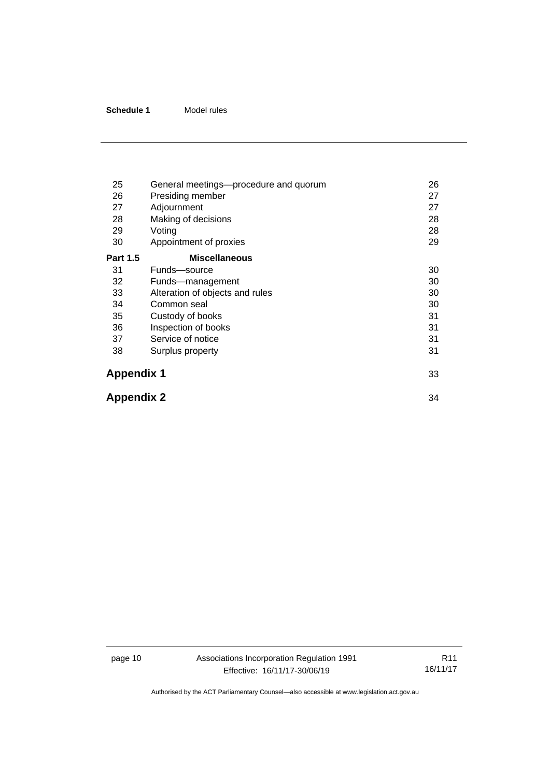| 25                | General meetings—procedure and quorum | 26 |
|-------------------|---------------------------------------|----|
| 26                | Presiding member                      | 27 |
| 27                | Adjournment                           | 27 |
| 28                | Making of decisions                   | 28 |
| 29                | Voting                                | 28 |
| 30                | Appointment of proxies                | 29 |
| <b>Part 1.5</b>   | <b>Miscellaneous</b>                  |    |
| 31                | Funds-source                          | 30 |
| 32                | Funds-management                      | 30 |
| 33                | Alteration of objects and rules       | 30 |
| 34                | Common seal                           | 30 |
| 35                | Custody of books                      | 31 |
| 36                | Inspection of books                   | 31 |
| 37                | Service of notice                     | 31 |
| 38                | Surplus property                      | 31 |
| <b>Appendix 1</b> |                                       | 33 |
| <b>Appendix 2</b> |                                       | 34 |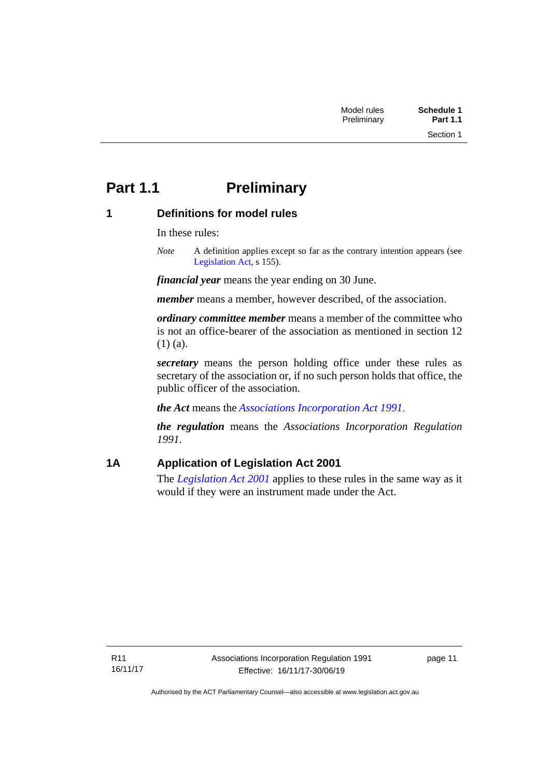# <span id="page-16-0"></span>**Part 1.1 Preliminary**

# <span id="page-16-1"></span>**1 Definitions for model rules**

In these rules:

*Note* A definition applies except so far as the contrary intention appears (see [Legislation Act,](http://www.legislation.act.gov.au/a/2001-14) s 155).

*financial year* means the year ending on 30 June.

*member* means a member, however described, of the association.

*ordinary committee member* means a member of the committee who is not an office-bearer of the association as mentioned in section 12 (1) (a).

*secretary* means the person holding office under these rules as secretary of the association or, if no such person holds that office, the public officer of the association.

*the Act* means the *[Associations Incorporation Act 1991](http://www.legislation.act.gov.au/a/1991-46)*.

*the regulation* means the *Associations Incorporation Regulation 1991*.

# <span id="page-16-2"></span>**1A Application of Legislation Act 2001**

The *[Legislation Act 2001](http://www.legislation.act.gov.au/a/2001-14)* applies to these rules in the same way as it would if they were an instrument made under the Act.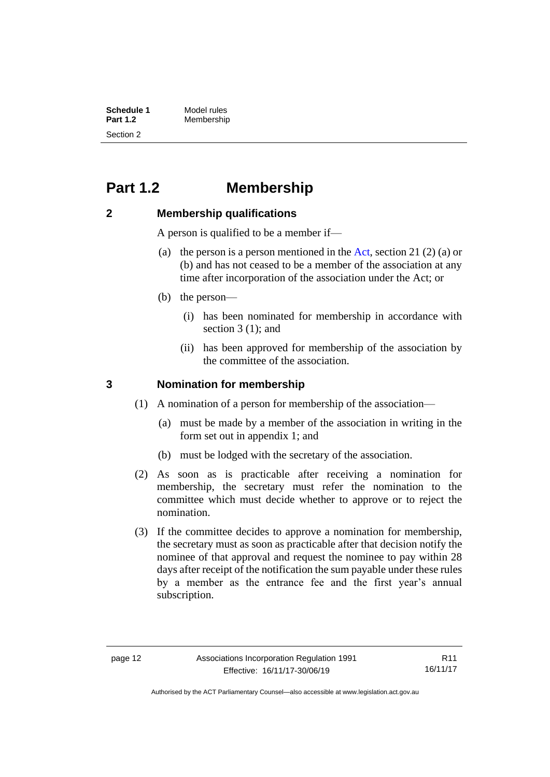| <b>Schedule 1</b> | Model rules |
|-------------------|-------------|
| <b>Part 1.2</b>   | Membership  |
| Section 2         |             |

# <span id="page-17-0"></span>**Part 1.2 Membership**

#### <span id="page-17-1"></span>**2 Membership qualifications**

A person is qualified to be a member if—

- (a) the person is a person mentioned in the [Act,](http://www.legislation.act.gov.au/a/1991-46/default.asp) section 21 (2) (a) or (b) and has not ceased to be a member of the association at any time after incorporation of the association under the Act; or
- (b) the person—
	- (i) has been nominated for membership in accordance with section 3 (1); and
	- (ii) has been approved for membership of the association by the committee of the association.

#### <span id="page-17-2"></span>**3 Nomination for membership**

- (1) A nomination of a person for membership of the association—
	- (a) must be made by a member of the association in writing in the form set out in appendix 1; and
	- (b) must be lodged with the secretary of the association.
- (2) As soon as is practicable after receiving a nomination for membership, the secretary must refer the nomination to the committee which must decide whether to approve or to reject the nomination.
- (3) If the committee decides to approve a nomination for membership, the secretary must as soon as practicable after that decision notify the nominee of that approval and request the nominee to pay within 28 days after receipt of the notification the sum payable under these rules by a member as the entrance fee and the first year's annual subscription.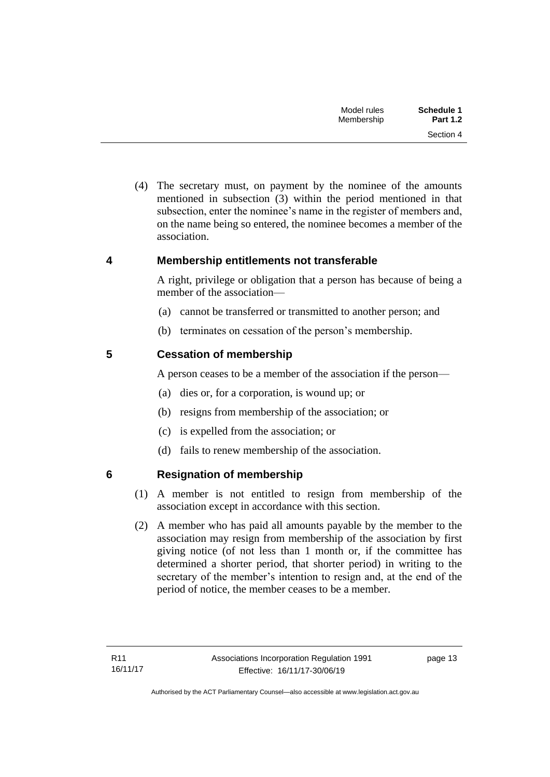| Schedule 1      | Model rules |
|-----------------|-------------|
| <b>Part 1.2</b> | Membership  |
| Section 4       |             |

(4) The secretary must, on payment by the nominee of the amounts mentioned in subsection (3) within the period mentioned in that subsection, enter the nominee's name in the register of members and, on the name being so entered, the nominee becomes a member of the association.

#### <span id="page-18-0"></span>**4 Membership entitlements not transferable**

A right, privilege or obligation that a person has because of being a member of the association—

- (a) cannot be transferred or transmitted to another person; and
- (b) terminates on cessation of the person's membership.

### <span id="page-18-1"></span>**5 Cessation of membership**

A person ceases to be a member of the association if the person—

- (a) dies or, for a corporation, is wound up; or
- (b) resigns from membership of the association; or
- (c) is expelled from the association; or
- (d) fails to renew membership of the association.

### <span id="page-18-2"></span>**6 Resignation of membership**

- (1) A member is not entitled to resign from membership of the association except in accordance with this section.
- (2) A member who has paid all amounts payable by the member to the association may resign from membership of the association by first giving notice (of not less than 1 month or, if the committee has determined a shorter period, that shorter period) in writing to the secretary of the member's intention to resign and, at the end of the period of notice, the member ceases to be a member.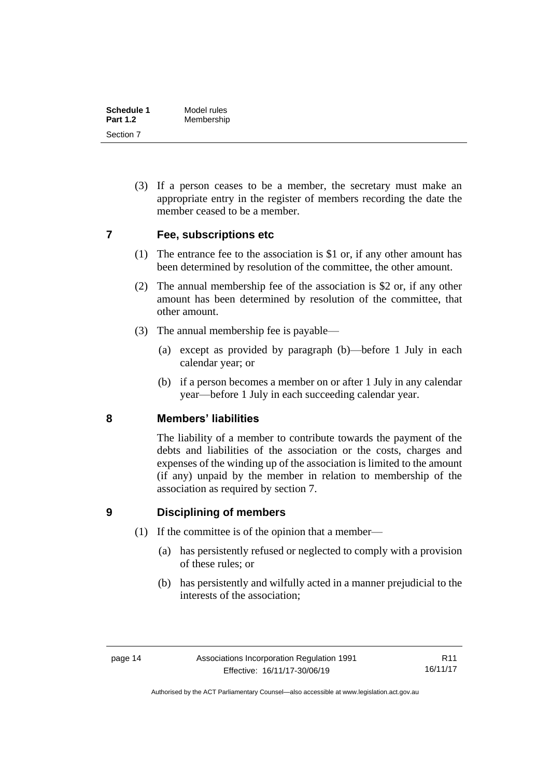| Schedule 1      | Model rules |
|-----------------|-------------|
| <b>Part 1.2</b> | Membership  |
| Section 7       |             |

(3) If a person ceases to be a member, the secretary must make an appropriate entry in the register of members recording the date the member ceased to be a member.

#### <span id="page-19-0"></span>**7 Fee, subscriptions etc**

- (1) The entrance fee to the association is \$1 or, if any other amount has been determined by resolution of the committee, the other amount.
- (2) The annual membership fee of the association is \$2 or, if any other amount has been determined by resolution of the committee, that other amount.
- (3) The annual membership fee is payable—
	- (a) except as provided by paragraph (b)—before 1 July in each calendar year; or
	- (b) if a person becomes a member on or after 1 July in any calendar year—before 1 July in each succeeding calendar year.

#### <span id="page-19-1"></span>**8 Members' liabilities**

The liability of a member to contribute towards the payment of the debts and liabilities of the association or the costs, charges and expenses of the winding up of the association is limited to the amount (if any) unpaid by the member in relation to membership of the association as required by section 7.

### <span id="page-19-2"></span>**9 Disciplining of members**

- (1) If the committee is of the opinion that a member—
	- (a) has persistently refused or neglected to comply with a provision of these rules; or
	- (b) has persistently and wilfully acted in a manner prejudicial to the interests of the association;

Authorised by the ACT Parliamentary Counsel—also accessible at www.legislation.act.gov.au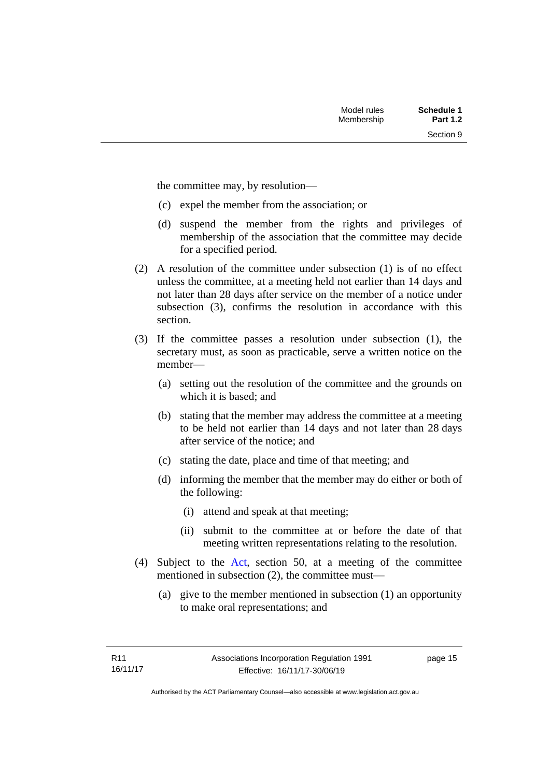Section 9

the committee may, by resolution—

- (c) expel the member from the association; or
- (d) suspend the member from the rights and privileges of membership of the association that the committee may decide for a specified period.
- (2) A resolution of the committee under subsection (1) is of no effect unless the committee, at a meeting held not earlier than 14 days and not later than 28 days after service on the member of a notice under subsection (3), confirms the resolution in accordance with this section.
- (3) If the committee passes a resolution under subsection (1), the secretary must, as soon as practicable, serve a written notice on the member—
	- (a) setting out the resolution of the committee and the grounds on which it is based; and
	- (b) stating that the member may address the committee at a meeting to be held not earlier than 14 days and not later than 28 days after service of the notice; and
	- (c) stating the date, place and time of that meeting; and
	- (d) informing the member that the member may do either or both of the following:
		- (i) attend and speak at that meeting;
		- (ii) submit to the committee at or before the date of that meeting written representations relating to the resolution.
- (4) Subject to the [Act,](http://www.legislation.act.gov.au/a/1991-46/default.asp) section 50, at a meeting of the committee mentioned in subsection (2), the committee must—
	- (a) give to the member mentioned in subsection (1) an opportunity to make oral representations; and

page 15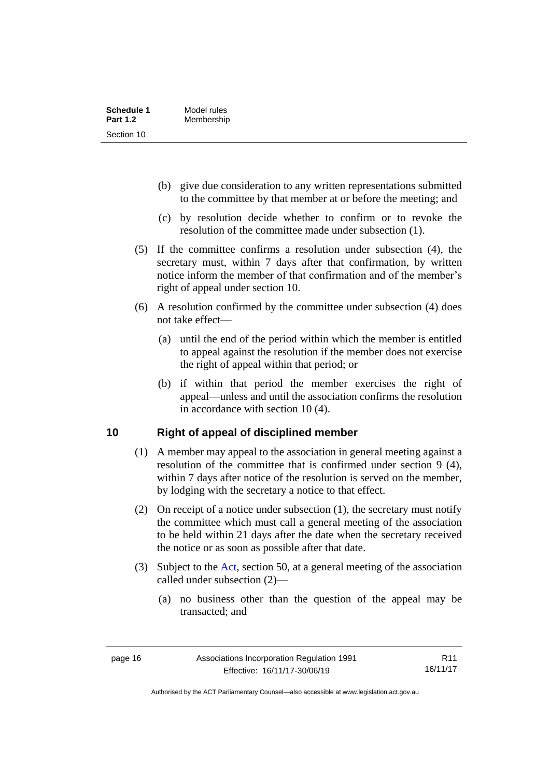| <b>Schedule 1</b> | Model rules |
|-------------------|-------------|
| <b>Part 1.2</b>   | Membership  |
| Section 10        |             |

- (b) give due consideration to any written representations submitted to the committee by that member at or before the meeting; and
- (c) by resolution decide whether to confirm or to revoke the resolution of the committee made under subsection (1).
- (5) If the committee confirms a resolution under subsection (4), the secretary must, within 7 days after that confirmation, by written notice inform the member of that confirmation and of the member's right of appeal under section 10.
- (6) A resolution confirmed by the committee under subsection (4) does not take effect—
	- (a) until the end of the period within which the member is entitled to appeal against the resolution if the member does not exercise the right of appeal within that period; or
	- (b) if within that period the member exercises the right of appeal—unless and until the association confirms the resolution in accordance with section 10 (4).

#### <span id="page-21-0"></span>**10 Right of appeal of disciplined member**

- (1) A member may appeal to the association in general meeting against a resolution of the committee that is confirmed under section 9 (4), within 7 days after notice of the resolution is served on the member, by lodging with the secretary a notice to that effect.
- (2) On receipt of a notice under subsection (1), the secretary must notify the committee which must call a general meeting of the association to be held within 21 days after the date when the secretary received the notice or as soon as possible after that date.
- (3) Subject to the [Act,](http://www.legislation.act.gov.au/a/1991-46/default.asp) section 50, at a general meeting of the association called under subsection (2)—
	- (a) no business other than the question of the appeal may be transacted; and

R11 16/11/17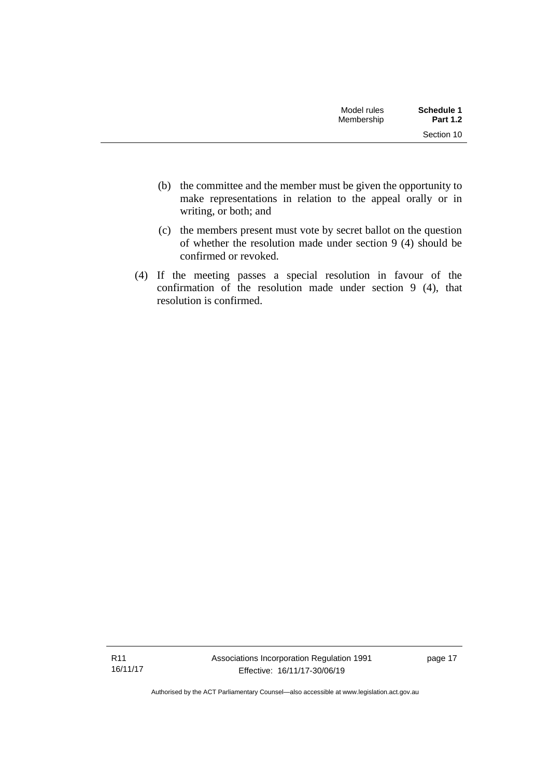| Model rules<br>Membership | Schedule 1<br><b>Part 1.2</b> |
|---------------------------|-------------------------------|
|                           | Section 10                    |

- (b) the committee and the member must be given the opportunity to make representations in relation to the appeal orally or in writing, or both; and
- (c) the members present must vote by secret ballot on the question of whether the resolution made under section 9 (4) should be confirmed or revoked.
- (4) If the meeting passes a special resolution in favour of the confirmation of the resolution made under section 9 (4), that resolution is confirmed.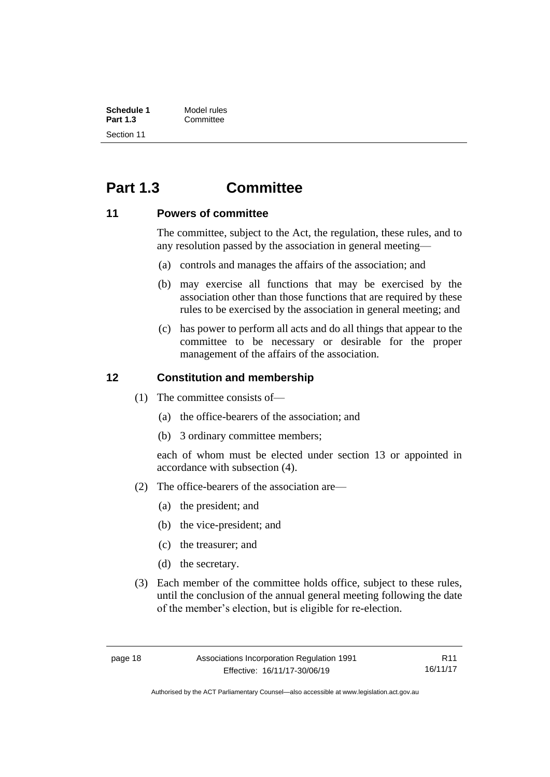| <b>Schedule 1</b> | Model rules |
|-------------------|-------------|
| <b>Part 1.3</b>   | Committee   |
| Section 11        |             |

# <span id="page-23-0"></span>**Part 1.3 Committee**

#### <span id="page-23-1"></span>**11 Powers of committee**

The committee, subject to the Act, the regulation, these rules, and to any resolution passed by the association in general meeting—

- (a) controls and manages the affairs of the association; and
- (b) may exercise all functions that may be exercised by the association other than those functions that are required by these rules to be exercised by the association in general meeting; and
- (c) has power to perform all acts and do all things that appear to the committee to be necessary or desirable for the proper management of the affairs of the association.

#### <span id="page-23-2"></span>**12 Constitution and membership**

- (1) The committee consists of—
	- (a) the office-bearers of the association; and
	- (b) 3 ordinary committee members;

each of whom must be elected under section 13 or appointed in accordance with subsection (4).

- (2) The office-bearers of the association are—
	- (a) the president; and
	- (b) the vice-president; and
	- (c) the treasurer; and
	- (d) the secretary.
- (3) Each member of the committee holds office, subject to these rules, until the conclusion of the annual general meeting following the date of the member's election, but is eligible for re-election.

R11 16/11/17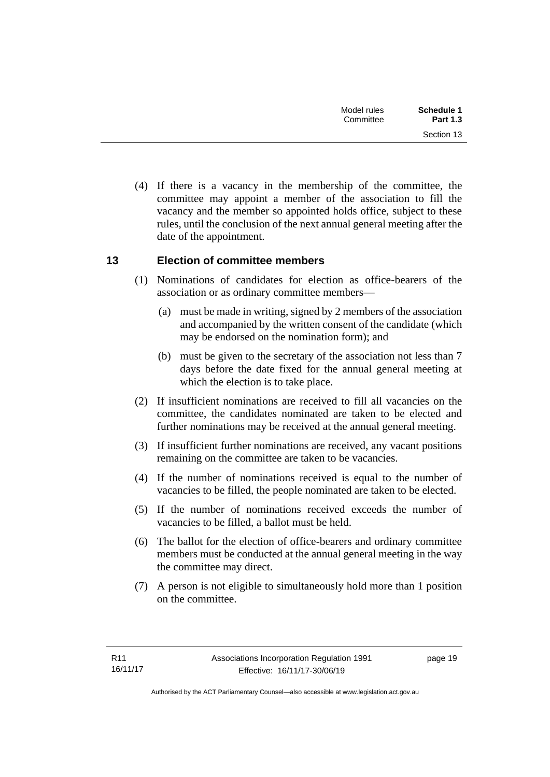| Schedule 1<br>Model rules<br><b>Part 1.3</b><br>Committee |
|-----------------------------------------------------------|
| Section 13                                                |

(4) If there is a vacancy in the membership of the committee, the committee may appoint a member of the association to fill the vacancy and the member so appointed holds office, subject to these rules, until the conclusion of the next annual general meeting after the date of the appointment.

### <span id="page-24-0"></span>**13 Election of committee members**

- (1) Nominations of candidates for election as office-bearers of the association or as ordinary committee members—
	- (a) must be made in writing, signed by 2 members of the association and accompanied by the written consent of the candidate (which may be endorsed on the nomination form); and
	- (b) must be given to the secretary of the association not less than 7 days before the date fixed for the annual general meeting at which the election is to take place.
- (2) If insufficient nominations are received to fill all vacancies on the committee, the candidates nominated are taken to be elected and further nominations may be received at the annual general meeting.
- (3) If insufficient further nominations are received, any vacant positions remaining on the committee are taken to be vacancies.
- (4) If the number of nominations received is equal to the number of vacancies to be filled, the people nominated are taken to be elected.
- (5) If the number of nominations received exceeds the number of vacancies to be filled, a ballot must be held.
- (6) The ballot for the election of office-bearers and ordinary committee members must be conducted at the annual general meeting in the way the committee may direct.
- (7) A person is not eligible to simultaneously hold more than 1 position on the committee.

page 19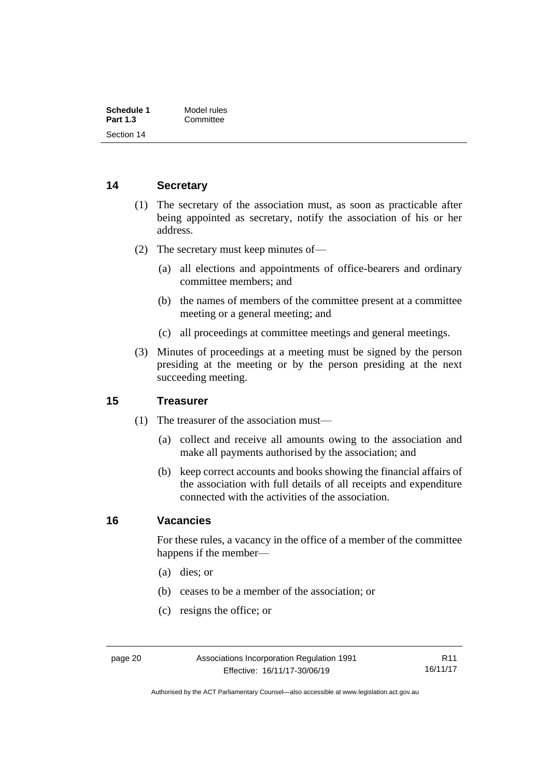| Schedule 1      | Model rules |
|-----------------|-------------|
| <b>Part 1.3</b> | Committee   |
| Section 14      |             |

### <span id="page-25-0"></span>**14 Secretary**

- (1) The secretary of the association must, as soon as practicable after being appointed as secretary, notify the association of his or her address.
- (2) The secretary must keep minutes of—
	- (a) all elections and appointments of office-bearers and ordinary committee members; and
	- (b) the names of members of the committee present at a committee meeting or a general meeting; and
	- (c) all proceedings at committee meetings and general meetings.
- (3) Minutes of proceedings at a meeting must be signed by the person presiding at the meeting or by the person presiding at the next succeeding meeting.

#### <span id="page-25-1"></span>**15 Treasurer**

- (1) The treasurer of the association must—
	- (a) collect and receive all amounts owing to the association and make all payments authorised by the association; and
	- (b) keep correct accounts and books showing the financial affairs of the association with full details of all receipts and expenditure connected with the activities of the association.

#### <span id="page-25-2"></span>**16 Vacancies**

For these rules, a vacancy in the office of a member of the committee happens if the member—

- (a) dies; or
- (b) ceases to be a member of the association; or
- (c) resigns the office; or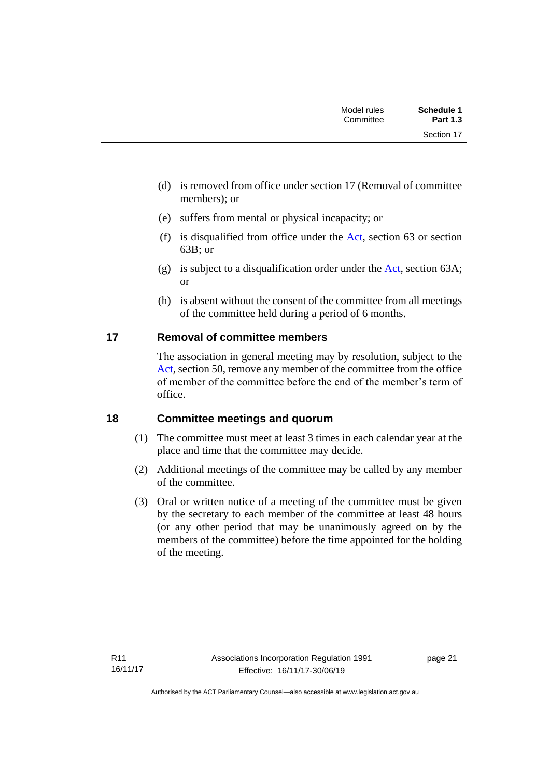| <b>Schedule 1</b><br><b>Part 1.3</b> | Model rules<br>Committee |  |
|--------------------------------------|--------------------------|--|
| Section 17                           |                          |  |

- (d) is removed from office under section 17 (Removal of committee members); or
- (e) suffers from mental or physical incapacity; or
- (f) is disqualified from office under the [Act,](http://www.legislation.act.gov.au/a/1991-46/default.asp) section  $63$  or section 63B; or
- (g) is subject to a disqualification order under the [Act,](http://www.legislation.act.gov.au/a/1991-46/default.asp) section 63A; or
- (h) is absent without the consent of the committee from all meetings of the committee held during a period of 6 months.

# <span id="page-26-0"></span>**17 Removal of committee members**

The association in general meeting may by resolution, subject to the [Act,](http://www.legislation.act.gov.au/a/1991-46/default.asp) section 50, remove any member of the committee from the office of member of the committee before the end of the member's term of office.

### <span id="page-26-1"></span>**18 Committee meetings and quorum**

- (1) The committee must meet at least 3 times in each calendar year at the place and time that the committee may decide.
- (2) Additional meetings of the committee may be called by any member of the committee.
- (3) Oral or written notice of a meeting of the committee must be given by the secretary to each member of the committee at least 48 hours (or any other period that may be unanimously agreed on by the members of the committee) before the time appointed for the holding of the meeting.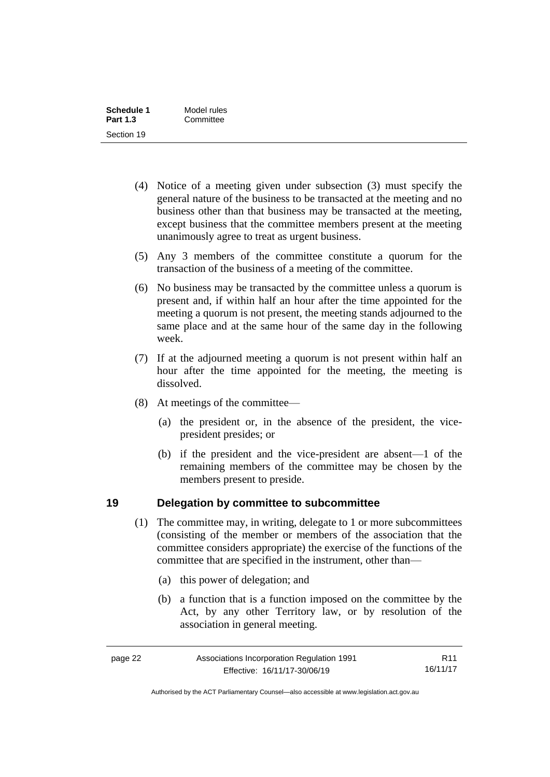| Schedule 1      | Model rules |
|-----------------|-------------|
| <b>Part 1.3</b> | Committee   |
| Section 19      |             |

- (4) Notice of a meeting given under subsection (3) must specify the general nature of the business to be transacted at the meeting and no business other than that business may be transacted at the meeting, except business that the committee members present at the meeting unanimously agree to treat as urgent business.
- (5) Any 3 members of the committee constitute a quorum for the transaction of the business of a meeting of the committee.
- (6) No business may be transacted by the committee unless a quorum is present and, if within half an hour after the time appointed for the meeting a quorum is not present, the meeting stands adjourned to the same place and at the same hour of the same day in the following week.
- (7) If at the adjourned meeting a quorum is not present within half an hour after the time appointed for the meeting, the meeting is dissolved.
- (8) At meetings of the committee—
	- (a) the president or, in the absence of the president, the vicepresident presides; or
	- (b) if the president and the vice-president are absent—1 of the remaining members of the committee may be chosen by the members present to preside.

#### <span id="page-27-0"></span>**19 Delegation by committee to subcommittee**

- (1) The committee may, in writing, delegate to 1 or more subcommittees (consisting of the member or members of the association that the committee considers appropriate) the exercise of the functions of the committee that are specified in the instrument, other than—
	- (a) this power of delegation; and
	- (b) a function that is a function imposed on the committee by the Act, by any other Territory law, or by resolution of the association in general meeting.

| page 22 | Associations Incorporation Regulation 1991 | R11      |
|---------|--------------------------------------------|----------|
|         | Effective: 16/11/17-30/06/19               | 16/11/17 |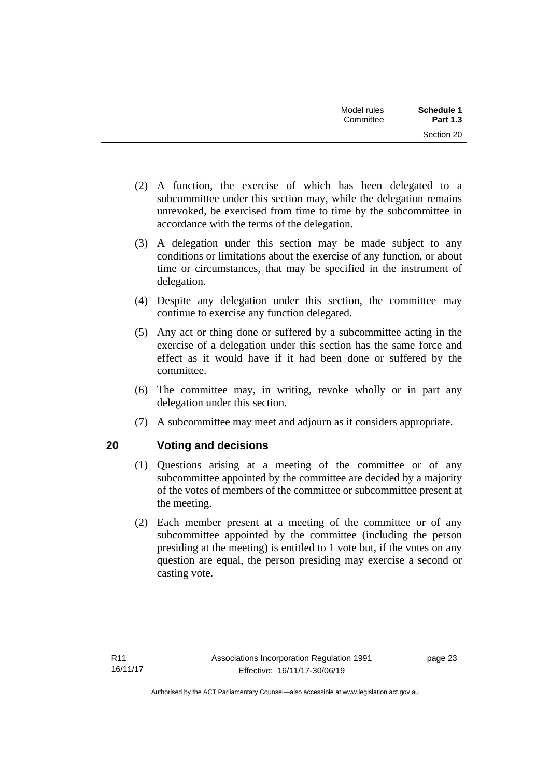| <b>Schedule 1</b><br><b>Part 1.3</b> | Model rules<br>Committee |  |
|--------------------------------------|--------------------------|--|
| Section 20                           |                          |  |

- (2) A function, the exercise of which has been delegated to a subcommittee under this section may, while the delegation remains unrevoked, be exercised from time to time by the subcommittee in accordance with the terms of the delegation.
- (3) A delegation under this section may be made subject to any conditions or limitations about the exercise of any function, or about time or circumstances, that may be specified in the instrument of delegation.
- (4) Despite any delegation under this section, the committee may continue to exercise any function delegated.
- (5) Any act or thing done or suffered by a subcommittee acting in the exercise of a delegation under this section has the same force and effect as it would have if it had been done or suffered by the committee.
- (6) The committee may, in writing, revoke wholly or in part any delegation under this section.
- (7) A subcommittee may meet and adjourn as it considers appropriate.

### <span id="page-28-0"></span>**20 Voting and decisions**

- (1) Questions arising at a meeting of the committee or of any subcommittee appointed by the committee are decided by a majority of the votes of members of the committee or subcommittee present at the meeting.
- (2) Each member present at a meeting of the committee or of any subcommittee appointed by the committee (including the person presiding at the meeting) is entitled to 1 vote but, if the votes on any question are equal, the person presiding may exercise a second or casting vote.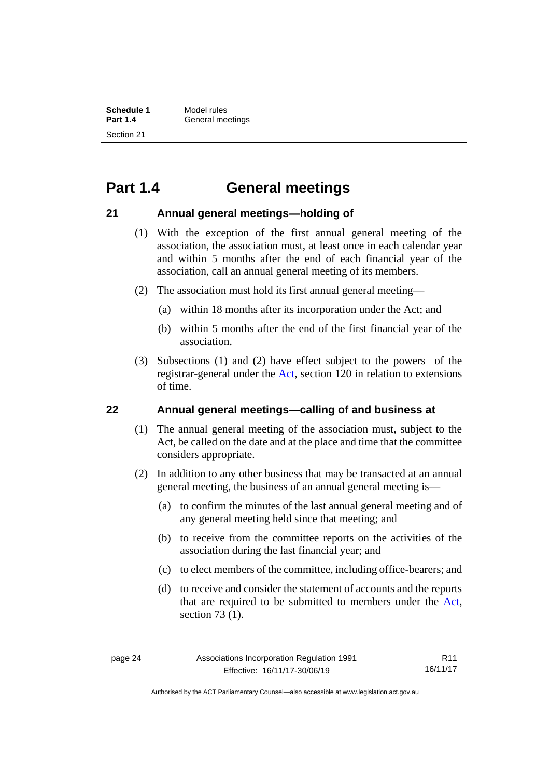**Schedule 1** Model rules<br>**Part 1.4** General me **General meetings** Section 21

# <span id="page-29-0"></span>**Part 1.4 General meetings**

#### <span id="page-29-1"></span>**21 Annual general meetings—holding of**

- (1) With the exception of the first annual general meeting of the association, the association must, at least once in each calendar year and within 5 months after the end of each financial year of the association, call an annual general meeting of its members.
- (2) The association must hold its first annual general meeting—
	- (a) within 18 months after its incorporation under the Act; and
	- (b) within 5 months after the end of the first financial year of the association.
- (3) Subsections (1) and (2) have effect subject to the powers of the registrar-general under the [Act,](http://www.legislation.act.gov.au/a/1991-46/default.asp) section 120 in relation to extensions of time.

#### <span id="page-29-2"></span>**22 Annual general meetings—calling of and business at**

- (1) The annual general meeting of the association must, subject to the Act, be called on the date and at the place and time that the committee considers appropriate.
- (2) In addition to any other business that may be transacted at an annual general meeting, the business of an annual general meeting is—
	- (a) to confirm the minutes of the last annual general meeting and of any general meeting held since that meeting; and
	- (b) to receive from the committee reports on the activities of the association during the last financial year; and
	- (c) to elect members of the committee, including office-bearers; and
	- (d) to receive and consider the statement of accounts and the reports that are required to be submitted to members under the [Act,](http://www.legislation.act.gov.au/a/1991-46/default.asp) section 73 (1).

R11 16/11/17

Authorised by the ACT Parliamentary Counsel—also accessible at www.legislation.act.gov.au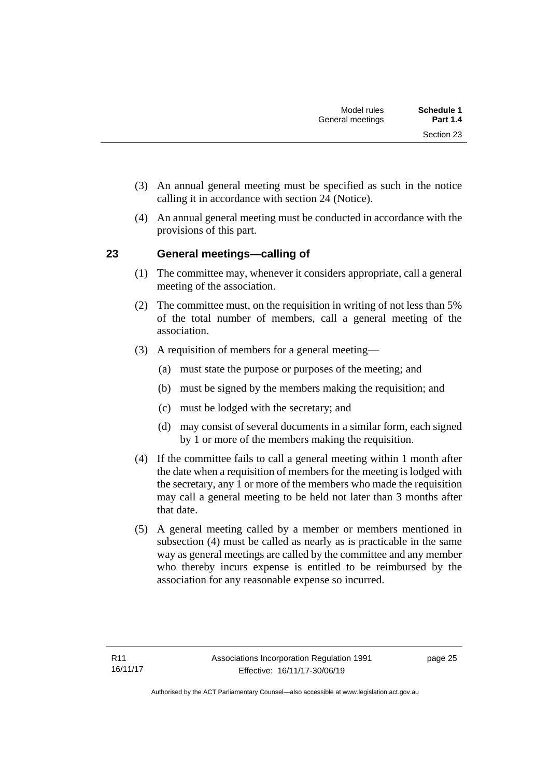- (3) An annual general meeting must be specified as such in the notice calling it in accordance with section 24 (Notice).
- (4) An annual general meeting must be conducted in accordance with the provisions of this part.

# <span id="page-30-0"></span>**23 General meetings—calling of**

- (1) The committee may, whenever it considers appropriate, call a general meeting of the association.
- (2) The committee must, on the requisition in writing of not less than 5% of the total number of members, call a general meeting of the association.
- (3) A requisition of members for a general meeting—
	- (a) must state the purpose or purposes of the meeting; and
	- (b) must be signed by the members making the requisition; and
	- (c) must be lodged with the secretary; and
	- (d) may consist of several documents in a similar form, each signed by 1 or more of the members making the requisition.
- (4) If the committee fails to call a general meeting within 1 month after the date when a requisition of members for the meeting is lodged with the secretary, any 1 or more of the members who made the requisition may call a general meeting to be held not later than 3 months after that date.
- (5) A general meeting called by a member or members mentioned in subsection (4) must be called as nearly as is practicable in the same way as general meetings are called by the committee and any member who thereby incurs expense is entitled to be reimbursed by the association for any reasonable expense so incurred.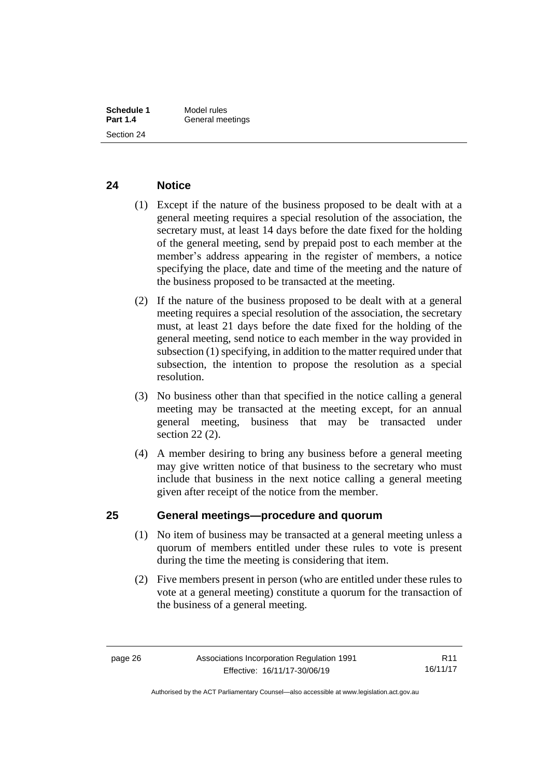#### <span id="page-31-0"></span>**24 Notice**

- (1) Except if the nature of the business proposed to be dealt with at a general meeting requires a special resolution of the association, the secretary must, at least 14 days before the date fixed for the holding of the general meeting, send by prepaid post to each member at the member's address appearing in the register of members, a notice specifying the place, date and time of the meeting and the nature of the business proposed to be transacted at the meeting.
- (2) If the nature of the business proposed to be dealt with at a general meeting requires a special resolution of the association, the secretary must, at least 21 days before the date fixed for the holding of the general meeting, send notice to each member in the way provided in subsection (1) specifying, in addition to the matter required under that subsection, the intention to propose the resolution as a special resolution.
- (3) No business other than that specified in the notice calling a general meeting may be transacted at the meeting except, for an annual general meeting, business that may be transacted under section 22 (2).
- (4) A member desiring to bring any business before a general meeting may give written notice of that business to the secretary who must include that business in the next notice calling a general meeting given after receipt of the notice from the member.

### <span id="page-31-1"></span>**25 General meetings—procedure and quorum**

- (1) No item of business may be transacted at a general meeting unless a quorum of members entitled under these rules to vote is present during the time the meeting is considering that item.
- (2) Five members present in person (who are entitled under these rules to vote at a general meeting) constitute a quorum for the transaction of the business of a general meeting.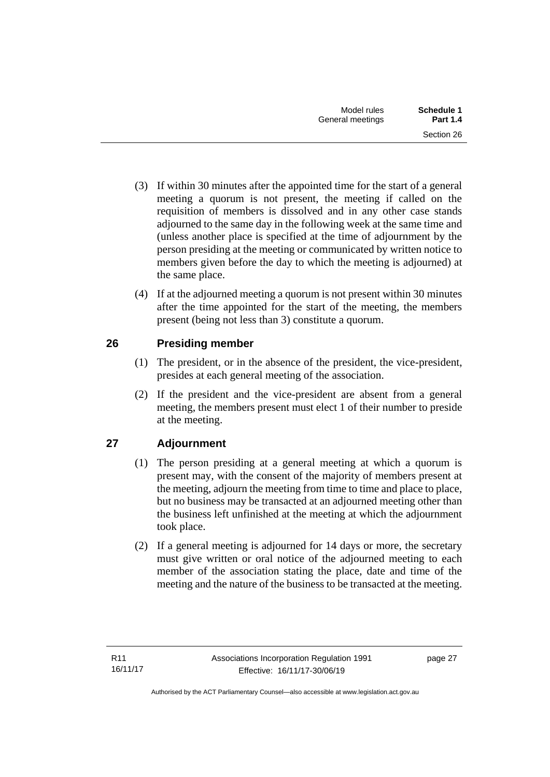- (3) If within 30 minutes after the appointed time for the start of a general meeting a quorum is not present, the meeting if called on the requisition of members is dissolved and in any other case stands adjourned to the same day in the following week at the same time and (unless another place is specified at the time of adjournment by the person presiding at the meeting or communicated by written notice to members given before the day to which the meeting is adjourned) at the same place.
- (4) If at the adjourned meeting a quorum is not present within 30 minutes after the time appointed for the start of the meeting, the members present (being not less than 3) constitute a quorum.

# <span id="page-32-0"></span>**26 Presiding member**

- (1) The president, or in the absence of the president, the vice-president, presides at each general meeting of the association.
- (2) If the president and the vice-president are absent from a general meeting, the members present must elect 1 of their number to preside at the meeting.

# <span id="page-32-1"></span>**27 Adjournment**

- (1) The person presiding at a general meeting at which a quorum is present may, with the consent of the majority of members present at the meeting, adjourn the meeting from time to time and place to place, but no business may be transacted at an adjourned meeting other than the business left unfinished at the meeting at which the adjournment took place.
- (2) If a general meeting is adjourned for 14 days or more, the secretary must give written or oral notice of the adjourned meeting to each member of the association stating the place, date and time of the meeting and the nature of the business to be transacted at the meeting.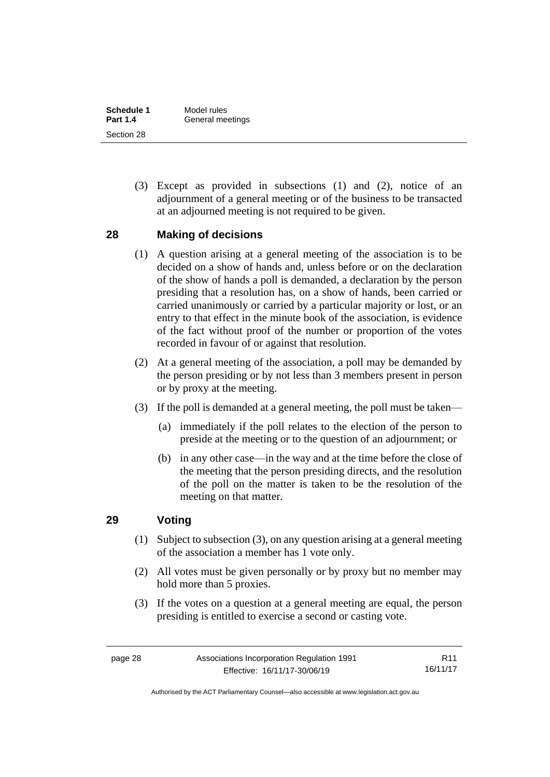| Schedule 1      | Model rules      |
|-----------------|------------------|
| <b>Part 1.4</b> | General meetings |
| Section 28      |                  |

(3) Except as provided in subsections (1) and (2), notice of an adjournment of a general meeting or of the business to be transacted at an adjourned meeting is not required to be given.

#### <span id="page-33-0"></span>**28 Making of decisions**

- (1) A question arising at a general meeting of the association is to be decided on a show of hands and, unless before or on the declaration of the show of hands a poll is demanded, a declaration by the person presiding that a resolution has, on a show of hands, been carried or carried unanimously or carried by a particular majority or lost, or an entry to that effect in the minute book of the association, is evidence of the fact without proof of the number or proportion of the votes recorded in favour of or against that resolution.
- (2) At a general meeting of the association, a poll may be demanded by the person presiding or by not less than 3 members present in person or by proxy at the meeting.
- (3) If the poll is demanded at a general meeting, the poll must be taken—
	- (a) immediately if the poll relates to the election of the person to preside at the meeting or to the question of an adjournment; or
	- (b) in any other case—in the way and at the time before the close of the meeting that the person presiding directs, and the resolution of the poll on the matter is taken to be the resolution of the meeting on that matter.

# <span id="page-33-1"></span>**29 Voting**

- (1) Subject to subsection (3), on any question arising at a general meeting of the association a member has 1 vote only.
- (2) All votes must be given personally or by proxy but no member may hold more than 5 proxies.
- (3) If the votes on a question at a general meeting are equal, the person presiding is entitled to exercise a second or casting vote.

Authorised by the ACT Parliamentary Counsel—also accessible at www.legislation.act.gov.au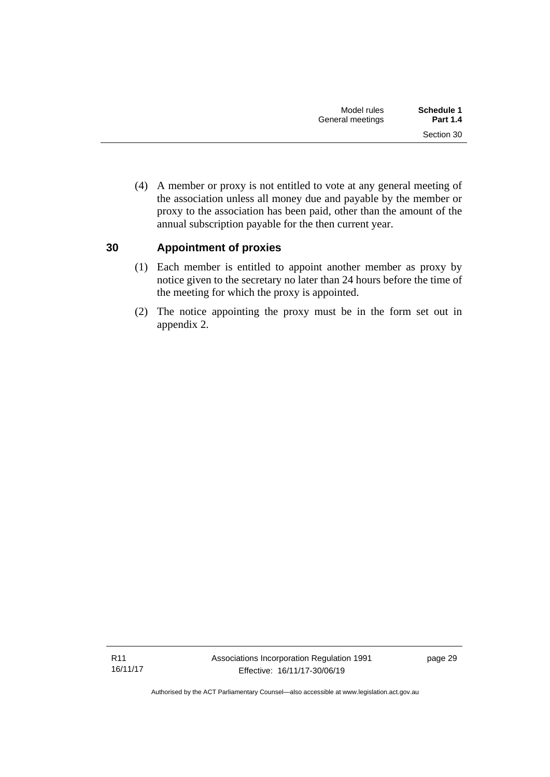(4) A member or proxy is not entitled to vote at any general meeting of the association unless all money due and payable by the member or proxy to the association has been paid, other than the amount of the annual subscription payable for the then current year.

### <span id="page-34-0"></span>**30 Appointment of proxies**

- (1) Each member is entitled to appoint another member as proxy by notice given to the secretary no later than 24 hours before the time of the meeting for which the proxy is appointed.
- (2) The notice appointing the proxy must be in the form set out in appendix 2.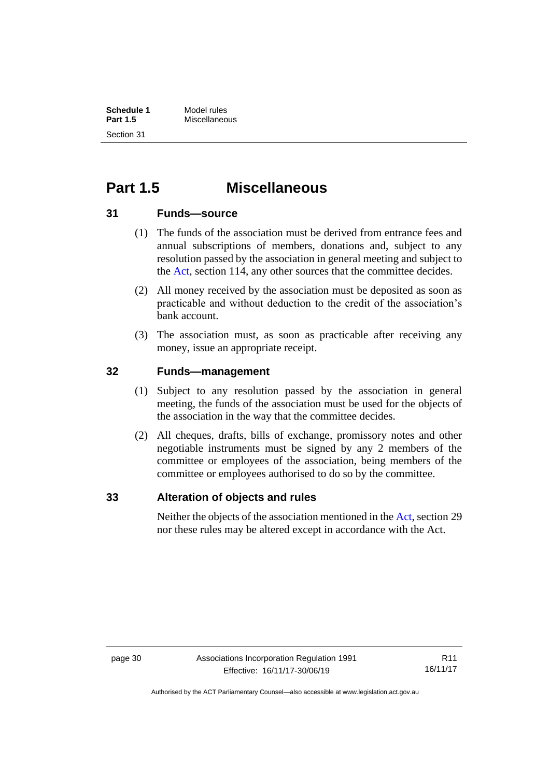# <span id="page-35-0"></span>**Part 1.5 Miscellaneous**

#### <span id="page-35-1"></span>**31 Funds—source**

- (1) The funds of the association must be derived from entrance fees and annual subscriptions of members, donations and, subject to any resolution passed by the association in general meeting and subject to the [Act,](http://www.legislation.act.gov.au/a/1991-46/default.asp) section 114, any other sources that the committee decides.
- (2) All money received by the association must be deposited as soon as practicable and without deduction to the credit of the association's bank account.
- (3) The association must, as soon as practicable after receiving any money, issue an appropriate receipt.

### <span id="page-35-2"></span>**32 Funds—management**

- (1) Subject to any resolution passed by the association in general meeting, the funds of the association must be used for the objects of the association in the way that the committee decides.
- (2) All cheques, drafts, bills of exchange, promissory notes and other negotiable instruments must be signed by any 2 members of the committee or employees of the association, being members of the committee or employees authorised to do so by the committee.

#### <span id="page-35-3"></span>**33 Alteration of objects and rules**

Neither the objects of the association mentioned in th[e Act,](http://www.legislation.act.gov.au/a/1991-46/default.asp) section 29 nor these rules may be altered except in accordance with the Act.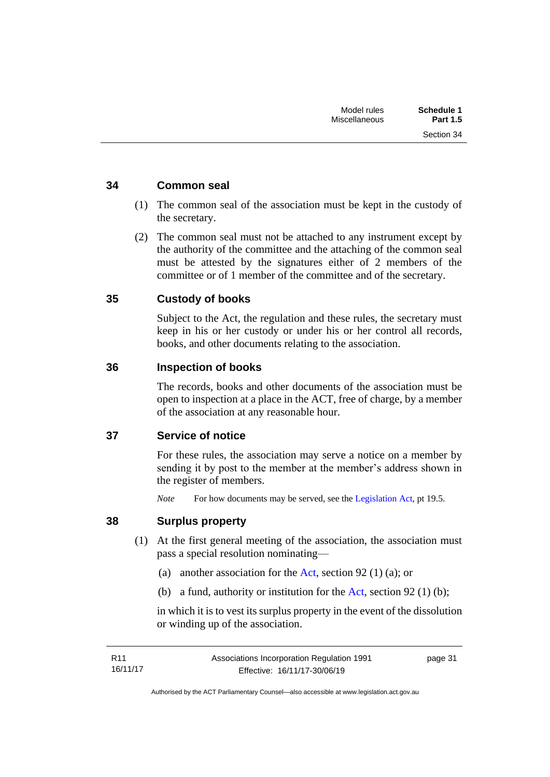Section 34

### <span id="page-36-0"></span>**34 Common seal**

- (1) The common seal of the association must be kept in the custody of the secretary.
- (2) The common seal must not be attached to any instrument except by the authority of the committee and the attaching of the common seal must be attested by the signatures either of 2 members of the committee or of 1 member of the committee and of the secretary.

### <span id="page-36-1"></span>**35 Custody of books**

Subject to the Act, the regulation and these rules, the secretary must keep in his or her custody or under his or her control all records, books, and other documents relating to the association.

#### <span id="page-36-2"></span>**36 Inspection of books**

The records, books and other documents of the association must be open to inspection at a place in the ACT, free of charge, by a member of the association at any reasonable hour.

#### <span id="page-36-3"></span>**37 Service of notice**

For these rules, the association may serve a notice on a member by sending it by post to the member at the member's address shown in the register of members.

*Note* For how documents may be served, see th[e Legislation Act,](http://www.legislation.act.gov.au/a/2001-14) pt 19.5.

#### <span id="page-36-4"></span>**38 Surplus property**

- (1) At the first general meeting of the association, the association must pass a special resolution nominating—
	- (a) another association for the [Act,](http://www.legislation.act.gov.au/a/1991-46/default.asp) section 92 (1) (a); or
	- (b) a fund, authority or institution for the [Act,](http://www.legislation.act.gov.au/a/1991-46/default.asp) section 92 (1) (b);

in which it is to vest its surplus property in the event of the dissolution or winding up of the association.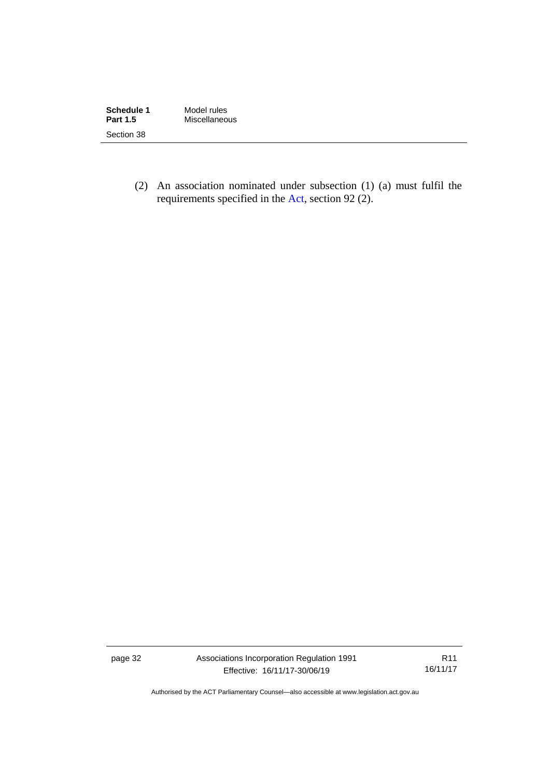| Schedule 1      | Model rules   |
|-----------------|---------------|
| <b>Part 1.5</b> | Miscellaneous |
| Section 38      |               |

(2) An association nominated under subsection (1) (a) must fulfil the requirements specified in the [Act,](http://www.legislation.act.gov.au/a/1991-46/default.asp) section 92 (2).

page 32 Associations Incorporation Regulation 1991 Effective: 16/11/17-30/06/19

R11 16/11/17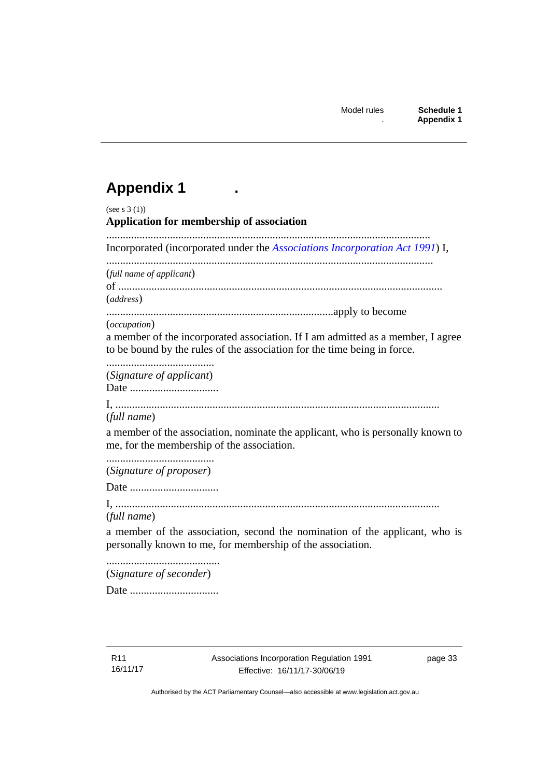# <span id="page-38-0"></span>**Appendix 1 .**

| (see s $3(1)$ )<br><b>Application for membership of association</b>                                                                                                         |
|-----------------------------------------------------------------------------------------------------------------------------------------------------------------------------|
| Incorporated (incorporated under the Associations Incorporation Act 1991) I,                                                                                                |
| (full name of applicant)<br>(address)                                                                                                                                       |
| (occupation)<br>a member of the incorporated association. If I am admitted as a member, I agree<br>to be bound by the rules of the association for the time being in force. |
| (Signature of applicant)                                                                                                                                                    |
| (full name)<br>a member of the association, nominate the applicant, who is personally known to<br>me, for the membership of the association.                                |
| (Signature of proposer)                                                                                                                                                     |
|                                                                                                                                                                             |
| (full name)                                                                                                                                                                 |
| a member of the association, second the nomination of the applicant, who is<br>personally known to me, for membership of the association.                                   |
| (Signature of seconder)                                                                                                                                                     |

Date ................................

R11 16/11/17 page 33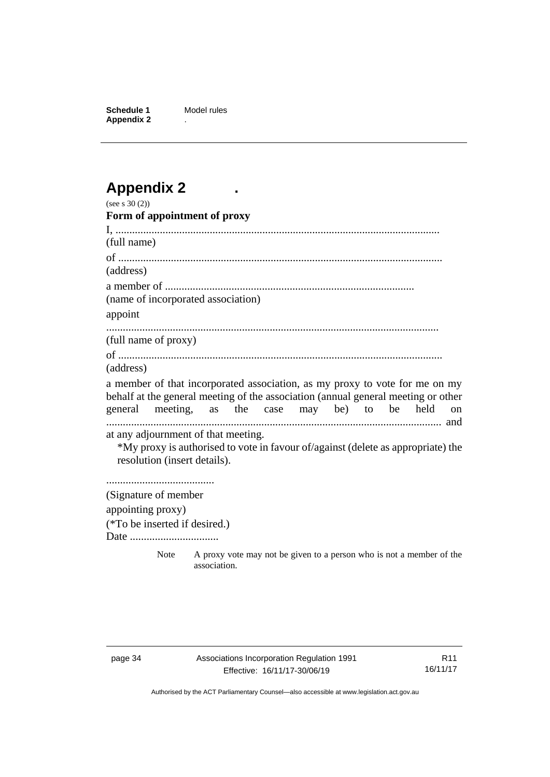**Schedule 1** Model rules **Appendix 2** .

# <span id="page-39-0"></span>**Appendix 2 .**

| (see s $30(2)$ )                                                                                                                                                                                                    |                                                                                      |  |  |  |               |
|---------------------------------------------------------------------------------------------------------------------------------------------------------------------------------------------------------------------|--------------------------------------------------------------------------------------|--|--|--|---------------|
| Form of appointment of proxy                                                                                                                                                                                        |                                                                                      |  |  |  |               |
|                                                                                                                                                                                                                     |                                                                                      |  |  |  |               |
| (full name)                                                                                                                                                                                                         |                                                                                      |  |  |  |               |
|                                                                                                                                                                                                                     |                                                                                      |  |  |  |               |
| (address)                                                                                                                                                                                                           |                                                                                      |  |  |  |               |
|                                                                                                                                                                                                                     |                                                                                      |  |  |  |               |
| (name of incorporated association)                                                                                                                                                                                  |                                                                                      |  |  |  |               |
| appoint                                                                                                                                                                                                             |                                                                                      |  |  |  |               |
|                                                                                                                                                                                                                     |                                                                                      |  |  |  |               |
| (full name of proxy)                                                                                                                                                                                                |                                                                                      |  |  |  |               |
| (address)                                                                                                                                                                                                           |                                                                                      |  |  |  |               |
| a member of that incorporated association, as my proxy to vote for me on my<br>behalf at the general meeting of the association (annual general meeting or other<br>general meeting, as the case may be) to be held |                                                                                      |  |  |  | <sub>on</sub> |
| at any adjournment of that meeting.<br>*My proxy is authorised to vote in favour of/against (delete as appropriate) the<br>resolution (insert details).                                                             |                                                                                      |  |  |  |               |
|                                                                                                                                                                                                                     |                                                                                      |  |  |  |               |
| (Signature of member                                                                                                                                                                                                |                                                                                      |  |  |  |               |
| appointing proxy)                                                                                                                                                                                                   |                                                                                      |  |  |  |               |
| (*To be inserted if desired.)                                                                                                                                                                                       |                                                                                      |  |  |  |               |
| Date                                                                                                                                                                                                                |                                                                                      |  |  |  |               |
| Note                                                                                                                                                                                                                | A proxy vote may not be given to a person who is not a member of the<br>association. |  |  |  |               |

R11 16/11/17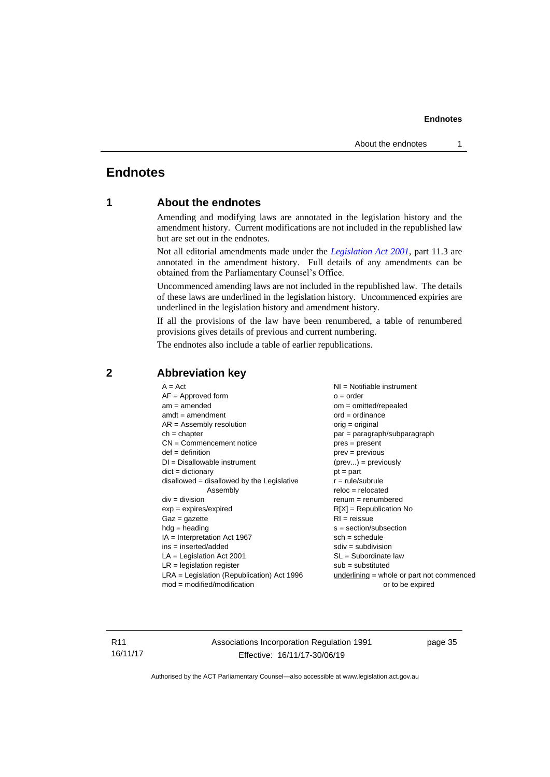# <span id="page-40-1"></span><span id="page-40-0"></span>**Endnotes**

#### **1 About the endnotes**

Amending and modifying laws are annotated in the legislation history and the amendment history. Current modifications are not included in the republished law but are set out in the endnotes.

Not all editorial amendments made under the *[Legislation Act 2001](http://www.legislation.act.gov.au/a/2001-14)*, part 11.3 are annotated in the amendment history. Full details of any amendments can be obtained from the Parliamentary Counsel's Office.

Uncommenced amending laws are not included in the republished law. The details of these laws are underlined in the legislation history. Uncommenced expiries are underlined in the legislation history and amendment history.

If all the provisions of the law have been renumbered, a table of renumbered provisions gives details of previous and current numbering.

The endnotes also include a table of earlier republications.

| $A = Act$                                    | $NI = Notifiable$ instrument              |
|----------------------------------------------|-------------------------------------------|
| $AF =$ Approved form                         | $o = order$                               |
| $am = amended$                               | $om = omitted/report$                     |
| $amdt = amendment$                           | $ord = ordinance$                         |
| $AR = Assembly resolution$                   | orig = original                           |
| $ch = chapter$                               | $par = paragraph/subparagraph$            |
| $CN =$ Commencement notice                   | $pres = present$                          |
| $def = definition$                           | $prev = previous$                         |
| $DI = Disallowable instrument$               | $(\text{prev}) = \text{previously}$       |
| $dict = dictionary$                          | $pt = part$                               |
| $disallowed = disallowed by the Legislative$ | $r = rule/subrule$                        |
| Assembly                                     | $reloc = relocated$                       |
| $div = division$                             | $remum = renumbered$                      |
| $exp = expires/expired$                      | $R[X]$ = Republication No                 |
| $Gaz = gazette$                              | $RI = reissue$                            |
| $hdg =$ heading                              | $s = section/subsection$                  |
| $IA = Interpretation Act 1967$               | $sch = schedule$                          |
| $ins = inserted/added$                       | $sdiv = subdivision$                      |
| $LA =$ Legislation Act 2001                  | $SL = Subordinate$ law                    |
| $LR =$ legislation register                  | $sub =$ substituted                       |
| $LRA =$ Legislation (Republication) Act 1996 | underlining = whole or part not commenced |
| $mod = modified/modification$                | or to be expired                          |
|                                              |                                           |

#### <span id="page-40-2"></span>**2 Abbreviation key**

R11 16/11/17 Associations Incorporation Regulation 1991 Effective: 16/11/17-30/06/19

page 35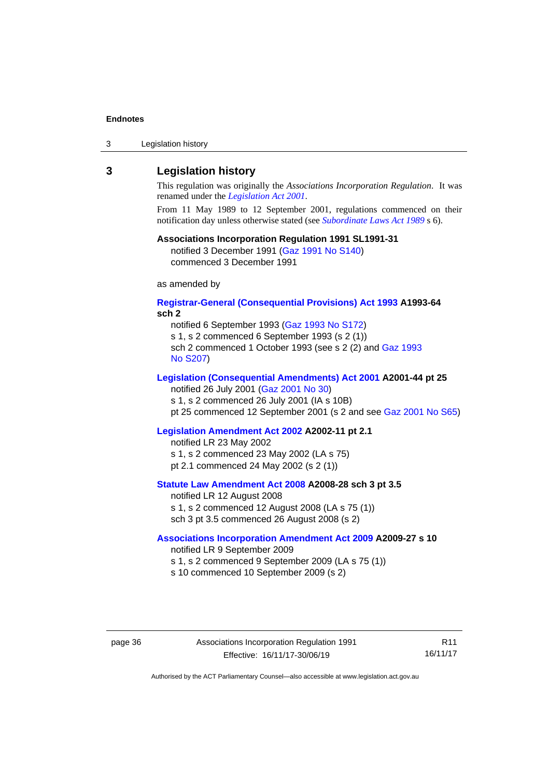|  | 3 | Legislation history |  |
|--|---|---------------------|--|
|--|---|---------------------|--|

#### <span id="page-41-0"></span>**3 Legislation history**

This regulation was originally the *Associations Incorporation Regulation*. It was renamed under the *[Legislation Act 2001](http://www.legislation.act.gov.au/a/2001-14)*.

From 11 May 1989 to 12 September 2001, regulations commenced on their notification day unless otherwise stated (see *[Subordinate Laws Act 1989](http://www.legislation.act.gov.au/a/alt_a1989-24co)* s 6).

#### **Associations Incorporation Regulation 1991 SL1991-31**

notified 3 December 1991 [\(Gaz 1991 No S140\)](http://www.legislation.act.gov.au/gaz/1991-S140/default.asp) commenced 3 December 1991

as amended by

#### **[Registrar-General \(Consequential Provisions\) Act 1993](http://www.legislation.act.gov.au/a/1993-64) A1993-64 sch 2**

notified 6 September 1993 [\(Gaz 1993 No S172\)](http://www.legislation.act.gov.au/gaz/1993-S172/default.asp)

s 1, s 2 commenced 6 September 1993 (s 2 (1))

sch 2 commenced 1 October 1993 (see s 2 (2) and Gaz [1993](http://www.legislation.act.gov.au/gaz/1993-S207/default.asp)  No [S207\)](http://www.legislation.act.gov.au/gaz/1993-S207/default.asp)

#### **[Legislation \(Consequential Amendments\) Act 2001](http://www.legislation.act.gov.au/a/2001-44) A2001-44 pt 25**

notified 26 July 2001 [\(Gaz 2001 No 30\)](http://www.legislation.act.gov.au/gaz/2001-30/default.asp)

s 1, s 2 commenced 26 July 2001 (IA s 10B)

pt 25 commenced 12 September 2001 (s 2 and see [Gaz 2001 No S65\)](http://www.legislation.act.gov.au/gaz/2001-S65/default.asp)

#### **[Legislation Amendment Act 2002](http://www.legislation.act.gov.au/a/2002-11) A2002-11 pt 2.1**

notified LR 23 May 2002 s 1, s 2 commenced 23 May 2002 (LA s 75) pt 2.1 commenced 24 May 2002 (s 2 (1))

#### **[Statute Law Amendment Act 2008](http://www.legislation.act.gov.au/a/2008-28) A2008-28 sch 3 pt 3.5**

notified LR 12 August 2008

s 1, s 2 commenced 12 August 2008 (LA s 75 (1))

sch 3 pt 3.5 commenced 26 August 2008 (s 2)

#### **[Associations Incorporation Amendment Act 2009](http://www.legislation.act.gov.au/a/2009-27) A2009-27 s 10**

notified LR 9 September 2009

- s 1, s 2 commenced 9 September 2009 (LA s 75 (1))
- s 10 commenced 10 September 2009 (s 2)

page 36 Associations Incorporation Regulation 1991 Effective: 16/11/17-30/06/19

R11 16/11/17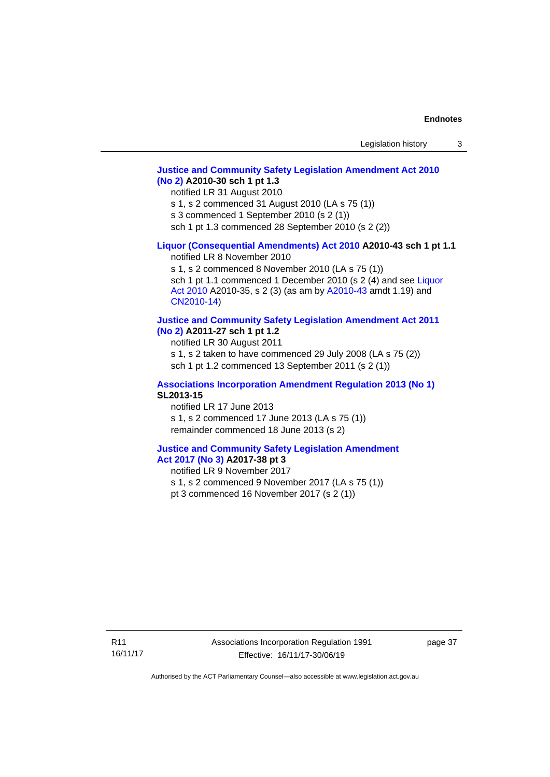#### **[Justice and Community Safety Legislation Amendment Act 2010](http://www.legislation.act.gov.au/a/2010-30)  [\(No](http://www.legislation.act.gov.au/a/2010-30) 2) A2010-30 sch 1 pt 1.3**

notified LR 31 August 2010

s 1, s 2 commenced 31 August 2010 (LA s 75 (1))

s 3 commenced 1 September 2010 (s 2 (1))

sch 1 pt 1.3 commenced 28 September 2010 (s 2 (2))

#### **[Liquor \(Consequential Amendments\) Act 2010](http://www.legislation.act.gov.au/a/2010-43) A2010-43 sch 1 pt 1.1**

notified LR 8 November 2010

s 1, s 2 commenced 8 November 2010 (LA s 75 (1)) sch 1 pt 1.1 commenced 1 December 2010 (s 2 (4) and see Liquor Act [2010](http://www.legislation.act.gov.au/a/2010-35) A2010-35, s 2 (3) (as am by [A2010-43](http://www.legislation.act.gov.au/a/2010-43) amdt 1.19) and [CN2010-14\)](http://www.legislation.act.gov.au/cn/2010-14/default.asp)

#### **[Justice and Community Safety Legislation Amendment Act 2011](http://www.legislation.act.gov.au/a/2011-27)**

**[\(No](http://www.legislation.act.gov.au/a/2011-27) 2) A2011-27 sch 1 pt 1.2**

notified LR 30 August 2011

s 1, s 2 taken to have commenced 29 July 2008 (LA s 75 (2)) sch 1 pt 1.2 commenced 13 September 2011 (s 2 (1))

#### **[Associations Incorporation Amendment Regulation 2013 \(No 1\)](http://www.legislation.act.gov.au/sl/2013-15/default.asp) SL2013-15**

notified LR 17 June 2013 s 1, s 2 commenced 17 June 2013 (LA s 75 (1)) remainder commenced 18 June 2013 (s 2)

#### **[Justice and Community Safety Legislation Amendment](http://www.legislation.act.gov.au/a/2017-38/default.asp)**

# **Act [2017](http://www.legislation.act.gov.au/a/2017-38/default.asp) (No 3) A2017-38 pt 3**

notified LR 9 November 2017

s 1, s 2 commenced 9 November 2017 (LA s 75 (1))

pt 3 commenced 16 November 2017 (s 2 (1))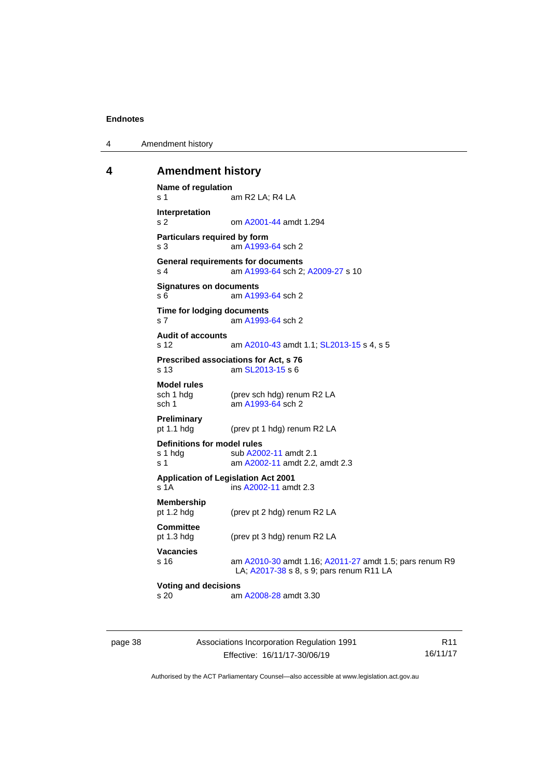4 Amendment history

#### <span id="page-43-0"></span>**4 Amendment history**

```
Name of regulation
s 1 am R2 LA; R4 LA
Interpretation
s 2 om A2001-44 amdt 1.294
Particulars required by form
s 3 am A1993-64 sch 2
General requirements for documents
s 4 am A1993-64 sch 2; A2009-27 s 10
Signatures on documents
s 6 am A1993-64 sch 2
Time for lodging documents
s 7 am A1993-64 sch 2
Audit of accounts
s 12 am A2010-43 amdt 1.1; SL2013-15 s 4, s 5
Prescribed associations for Act, s 76
s 13 am SL2013-15 s 6
Model rules
              (prev sch hdg) renum R2 LA
 A1993-64 sch 2
Preliminary
              (prev pt 1 hdg) renum R2 LA
Definitions for model rules
 A2002-11 amdt 2.1
 A2002-11 amdt 2.2, amdt 2.3
Application of Legislation Act 2001
 A2002-11 amdt 2.3
Membership
pt 1.2 hdg (prev pt 2 hdg) renum R2 LA
Committee
pt 1.3 hdg (prev pt 3 hdg) renum R2 LA
Vacancies
s 16 am A2010-30 amdt 1.16; A2011-27 amdt 1.5; pars renum R9 
               LA; A2017-38 s 8, s 9; pars renum R11 LA
Voting and decisions
s 20 am A2008-28 amdt 3.30
```
page 38 Associations Incorporation Regulation 1991 Effective: 16/11/17-30/06/19

R11 16/11/17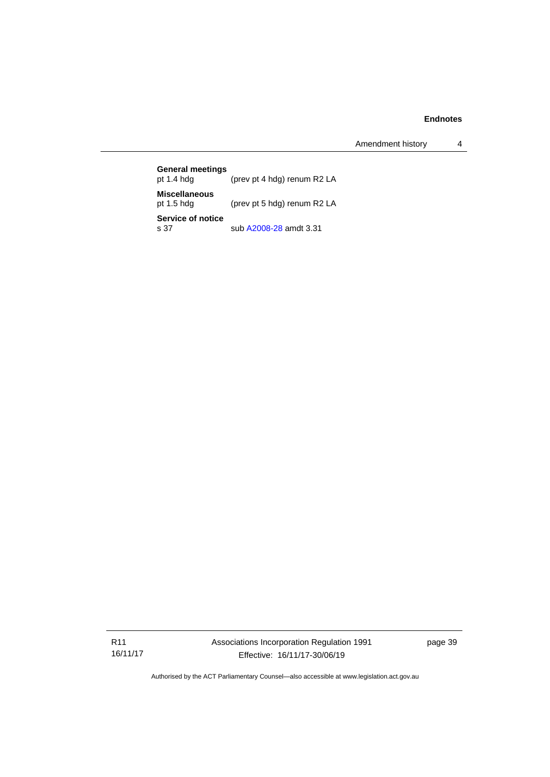Amendment history 4

| <b>General meetings</b><br>pt $1.4$ hdg | (prev pt 4 hdg) renum R2 LA |
|-----------------------------------------|-----------------------------|
| <b>Miscellaneous</b><br>pt $1.5$ hdg    | (prev pt 5 hdg) renum R2 LA |
| Service of notice<br>s.37               | sub A2008-28 amdt 3.31      |

R11 16/11/17 Associations Incorporation Regulation 1991 Effective: 16/11/17-30/06/19

page 39